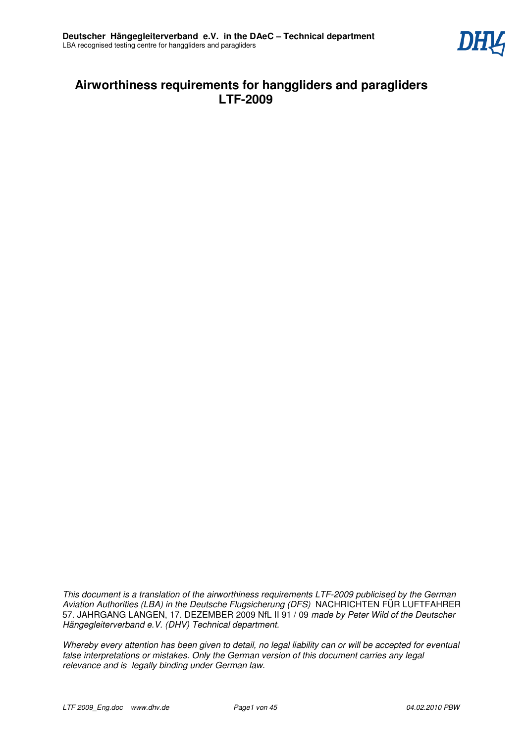

# **Airworthiness requirements for hanggliders and paragliders LTF-2009**

*This document is a translation of the airworthiness requirements LTF-2009 publicised by the German Aviation Authorities (LBA) in the Deutsche Flugsicherung (DFS)* NACHRICHTEN FÜR LUFTFAHRER 57. JAHRGANG LANGEN, 17. DEZEMBER 2009 NfL II 91 / 09 *made by Peter Wild of the Deutscher Hängegleiterverband e.V. (DHV) Technical department.* 

*Whereby every attention has been given to detail, no legal liability can or will be accepted for eventual false interpretations or mistakes. Only the German version of this document carries any legal relevance and is legally binding under German law.*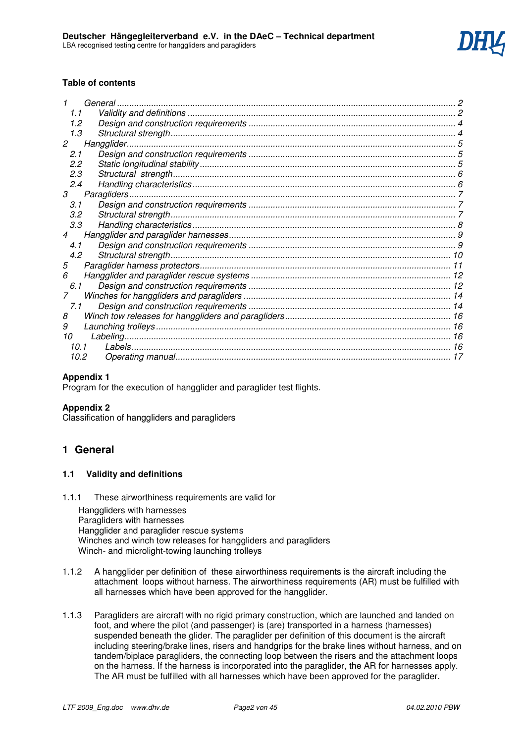

### **Table of contents**

|        | General |  |
|--------|---------|--|
| 1.1    |         |  |
| 1.2    |         |  |
| 1.3    |         |  |
| 2      |         |  |
| 2.1    |         |  |
| 2.2    |         |  |
| 2.3    |         |  |
| 2.4    |         |  |
| 3      |         |  |
| 3.1    |         |  |
| 3.2    |         |  |
| 3.3    |         |  |
| 4      |         |  |
| 4.1    |         |  |
| 4.2    |         |  |
| 5      |         |  |
| 6      |         |  |
| 6.1    |         |  |
|        |         |  |
| 7.1    |         |  |
| 8      |         |  |
| 9      |         |  |
| 10     |         |  |
| 10 $1$ |         |  |
| 10.2   |         |  |

### **Appendix 1**

Program for the execution of hangglider and paraglider test flights.

#### **Appendix 2**

Classification of hanggliders and paragliders

# **1 General**

#### **1.1 Validity and definitions**

1.1.1 These airworthiness requirements are valid for

Hanggliders with harnesses Paragliders with harnesses Hangglider and paraglider rescue systems Winches and winch tow releases for hanggliders and paragliders Winch- and microlight-towing launching trolleys

- 1.1.2 A hangglider per definition of these airworthiness requirements is the aircraft including the attachment loops without harness. The airworthiness requirements (AR) must be fulfilled with all harnesses which have been approved for the hangglider.
- 1.1.3 Paragliders are aircraft with no rigid primary construction, which are launched and landed on foot, and where the pilot (and passenger) is (are) transported in a harness (harnesses) suspended beneath the glider. The paraglider per definition of this document is the aircraft including steering/brake lines, risers and handgrips for the brake lines without harness, and on tandem/biplace paragliders, the connecting loop between the risers and the attachment loops on the harness. If the harness is incorporated into the paraglider, the AR for harnesses apply. The AR must be fulfilled with all harnesses which have been approved for the paraglider.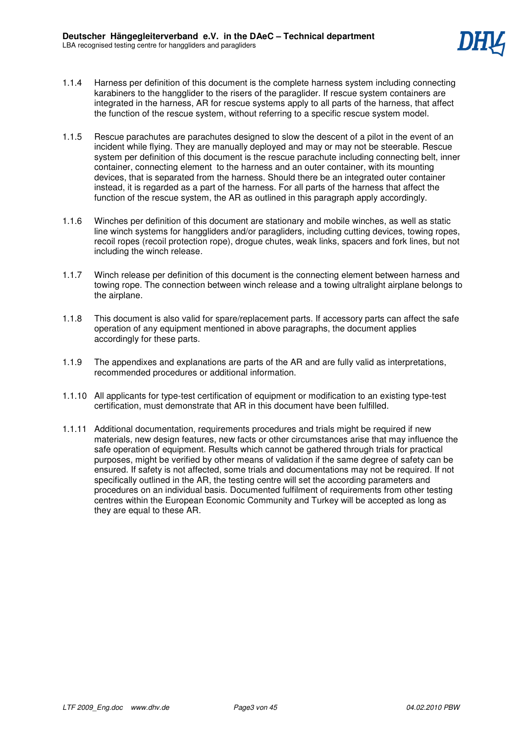

- 1.1.4 Harness per definition of this document is the complete harness system including connecting karabiners to the hangglider to the risers of the paraglider. If rescue system containers are integrated in the harness, AR for rescue systems apply to all parts of the harness, that affect the function of the rescue system, without referring to a specific rescue system model.
- 1.1.5 Rescue parachutes are parachutes designed to slow the descent of a pilot in the event of an incident while flying. They are manually deployed and may or may not be steerable. Rescue system per definition of this document is the rescue parachute including connecting belt, inner container, connecting element to the harness and an outer container, with its mounting devices, that is separated from the harness. Should there be an integrated outer container instead, it is regarded as a part of the harness. For all parts of the harness that affect the function of the rescue system, the AR as outlined in this paragraph apply accordingly.
- 1.1.6 Winches per definition of this document are stationary and mobile winches, as well as static line winch systems for hanggliders and/or paragliders, including cutting devices, towing ropes, recoil ropes (recoil protection rope), drogue chutes, weak links, spacers and fork lines, but not including the winch release.
- 1.1.7 Winch release per definition of this document is the connecting element between harness and towing rope. The connection between winch release and a towing ultralight airplane belongs to the airplane.
- 1.1.8 This document is also valid for spare/replacement parts. If accessory parts can affect the safe operation of any equipment mentioned in above paragraphs, the document applies accordingly for these parts.
- 1.1.9 The appendixes and explanations are parts of the AR and are fully valid as interpretations, recommended procedures or additional information.
- 1.1.10 All applicants for type-test certification of equipment or modification to an existing type-test certification, must demonstrate that AR in this document have been fulfilled.
- 1.1.11 Additional documentation, requirements procedures and trials might be required if new materials, new design features, new facts or other circumstances arise that may influence the safe operation of equipment. Results which cannot be gathered through trials for practical purposes, might be verified by other means of validation if the same degree of safety can be ensured. If safety is not affected, some trials and documentations may not be required. If not specifically outlined in the AR, the testing centre will set the according parameters and procedures on an individual basis. Documented fulfilment of requirements from other testing centres within the European Economic Community and Turkey will be accepted as long as they are equal to these AR.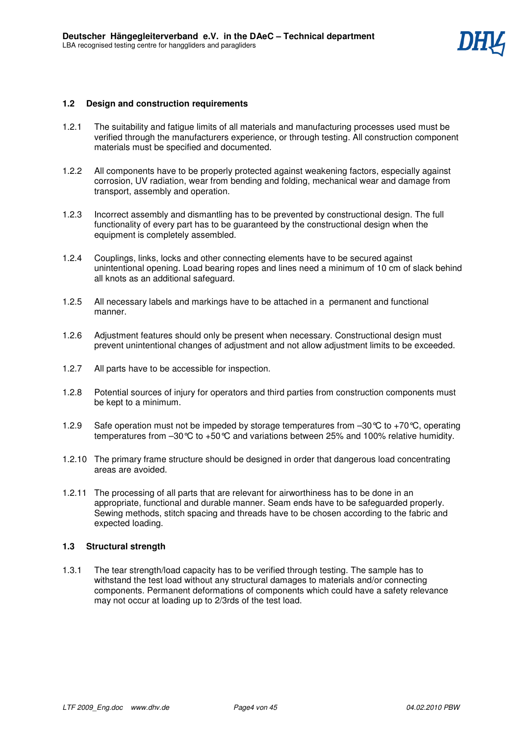# **1.2 Design and construction requirements**

- 1.2.1 The suitability and fatigue limits of all materials and manufacturing processes used must be verified through the manufacturers experience, or through testing. All construction component materials must be specified and documented.
- 1.2.2 All components have to be properly protected against weakening factors, especially against corrosion, UV radiation, wear from bending and folding, mechanical wear and damage from transport, assembly and operation.
- 1.2.3 Incorrect assembly and dismantling has to be prevented by constructional design. The full functionality of every part has to be guaranteed by the constructional design when the equipment is completely assembled.
- 1.2.4 Couplings, links, locks and other connecting elements have to be secured against unintentional opening. Load bearing ropes and lines need a minimum of 10 cm of slack behind all knots as an additional safeguard.
- 1.2.5 All necessary labels and markings have to be attached in a permanent and functional manner.
- 1.2.6 Adjustment features should only be present when necessary. Constructional design must prevent unintentional changes of adjustment and not allow adjustment limits to be exceeded.
- 1.2.7 All parts have to be accessible for inspection.
- 1.2.8 Potential sources of injury for operators and third parties from construction components must be kept to a minimum.
- 1.2.9 Safe operation must not be impeded by storage temperatures from  $-30^{\circ}$ C to +70 $^{\circ}$ C, operating temperatures from  $-30^{\circ}\text{C}$  to  $+50^{\circ}\text{C}$  and variations between 25% and 100% relative humidity.
- 1.2.10 The primary frame structure should be designed in order that dangerous load concentrating areas are avoided.
- 1.2.11 The processing of all parts that are relevant for airworthiness has to be done in an appropriate, functional and durable manner. Seam ends have to be safeguarded properly. Sewing methods, stitch spacing and threads have to be chosen according to the fabric and expected loading.

### **1.3 Structural strength**

1.3.1 The tear strength/load capacity has to be verified through testing. The sample has to withstand the test load without any structural damages to materials and/or connecting components. Permanent deformations of components which could have a safety relevance may not occur at loading up to 2/3rds of the test load.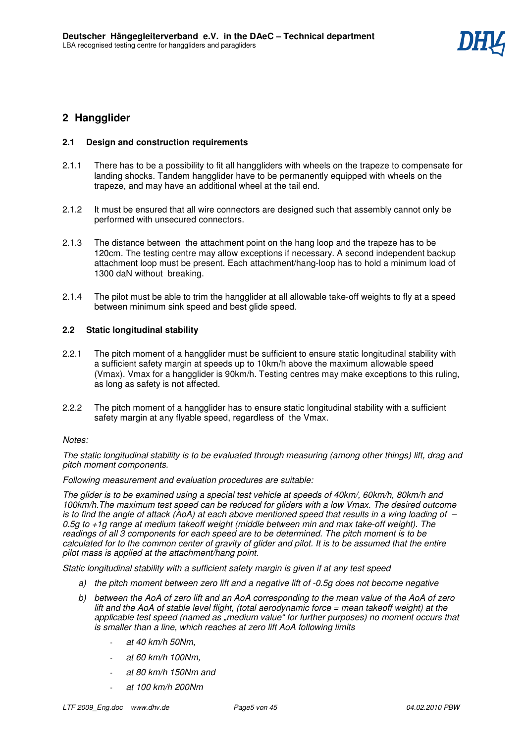# **2 Hangglider**

# **2.1 Design and construction requirements**

- 2.1.1 There has to be a possibility to fit all hanggliders with wheels on the trapeze to compensate for landing shocks. Tandem hangglider have to be permanently equipped with wheels on the trapeze, and may have an additional wheel at the tail end.
- 2.1.2 It must be ensured that all wire connectors are designed such that assembly cannot only be performed with unsecured connectors.
- 2.1.3 The distance between the attachment point on the hang loop and the trapeze has to be 120cm. The testing centre may allow exceptions if necessary. A second independent backup attachment loop must be present. Each attachment/hang-loop has to hold a minimum load of 1300 daN without breaking.
- 2.1.4 The pilot must be able to trim the hangglider at all allowable take-off weights to fly at a speed between minimum sink speed and best glide speed.

# **2.2 Static longitudinal stability**

- 2.2.1 The pitch moment of a hangglider must be sufficient to ensure static longitudinal stability with a sufficient safety margin at speeds up to 10km/h above the maximum allowable speed (Vmax). Vmax for a hangglider is 90km/h. Testing centres may make exceptions to this ruling, as long as safety is not affected.
- 2.2.2 The pitch moment of a hangglider has to ensure static longitudinal stability with a sufficient safety margin at any flyable speed, regardless of the Vmax.

### *Notes:*

*The static longitudinal stability is to be evaluated through measuring (among other things) lift, drag and pitch moment components.* 

*Following measurement and evaluation procedures are suitable:* 

*The glider is to be examined using a special test vehicle at speeds of 40km/, 60km/h, 80km/h and 100km/h.The maximum test speed can be reduced for gliders with a low Vmax. The desired outcome is to find the angle of attack (AoA) at each above mentioned speed that results in a wing loading of – 0.5g to +1g range at medium takeoff weight (middle between min and max take-off weight). The readings of all 3 components for each speed are to be determined. The pitch moment is to be calculated for to the common center of gravity of glider and pilot. It is to be assumed that the entire pilot mass is applied at the attachment/hang point.*

*Static longitudinal stability with a sufficient safety margin is given if at any test speed* 

- *a) the pitch moment between zero lift and a negative lift of -0.5g does not become negative*
- *b) between the AoA of zero lift and an AoA corresponding to the mean value of the AoA of zero lift and the AoA of stable level flight, (total aerodynamic force = mean takeoff weight) at the applicable test speed (named as "medium value" for further purposes) no moment occurs that is smaller than a line, which reaches at zero lift AoA following limits* 
	- *at 40 km/h 50Nm,*
	- *at 60 km/h 100Nm,*
	- *at 80 km/h 150Nm and*
	- *at 100 km/h 200Nm*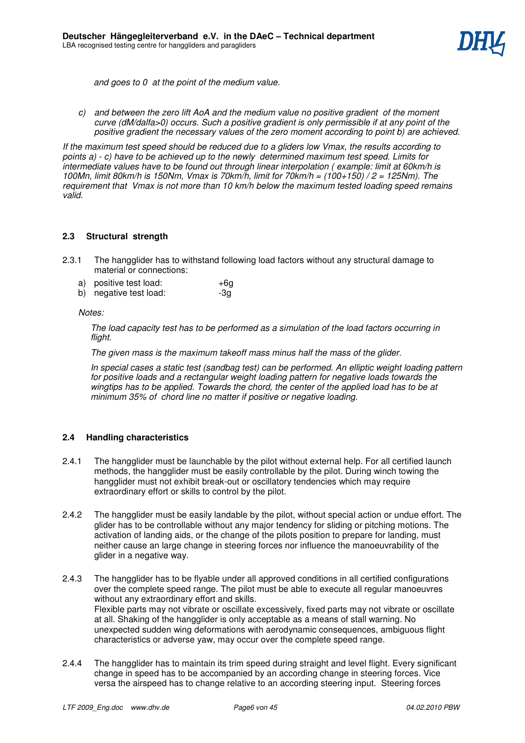

 *and goes to 0 at the point of the medium value.* 

*c) and between the zero lift AoA and the medium value no positive gradient of the moment curve (dM/dalfa>0) occurs. Such a positive gradient is only permissible if at any point of the positive gradient the necessary values of the zero moment according to point b) are achieved.* 

*If the maximum test speed should be reduced due to a gliders low Vmax, the results according to points a) - c) have to be achieved up to the newly determined maximum test speed. Limits for intermediate values have to be found out through linear interpolation ( example: limit at 60km/h is 100Mn, limit 80km/h is 150Nm, Vmax is 70km/h, limit for 70km/h = (100+150) / 2 = 125Nm). The requirement that Vmax is not more than 10 km/h below the maximum tested loading speed remains valid.*

### **2.3 Structural strength**

- 2.3.1 The hangglider has to withstand following load factors without any structural damage to material or connections:
	- a) positive test load:  $+6g$
	- b) negative test load:  $-3g$

#### *Notes:*

*The load capacity test has to be performed as a simulation of the load factors occurring in flight.* 

*The given mass is the maximum takeoff mass minus half the mass of the glider.* 

*In special cases a static test (sandbag test) can be performed. An elliptic weight loading pattern for positive loads and a rectangular weight loading pattern for negative loads towards the wingtips has to be applied. Towards the chord, the center of the applied load has to be at minimum 35% of chord line no matter if positive or negative loading.*

### **2.4 Handling characteristics**

- 2.4.1 The hangglider must be launchable by the pilot without external help. For all certified launch methods, the hangglider must be easily controllable by the pilot. During winch towing the hangglider must not exhibit break-out or oscillatory tendencies which may require extraordinary effort or skills to control by the pilot.
- 2.4.2 The hangglider must be easily landable by the pilot, without special action or undue effort. The glider has to be controllable without any major tendency for sliding or pitching motions. The activation of landing aids, or the change of the pilots position to prepare for landing, must neither cause an large change in steering forces nor influence the manoeuvrability of the glider in a negative way.
- 2.4.3 The hangglider has to be flyable under all approved conditions in all certified configurations over the complete speed range. The pilot must be able to execute all regular manoeuvres without any extraordinary effort and skills. Flexible parts may not vibrate or oscillate excessively, fixed parts may not vibrate or oscillate at all. Shaking of the hangglider is only acceptable as a means of stall warning. No unexpected sudden wing deformations with aerodynamic consequences, ambiguous flight characteristics or adverse yaw, may occur over the complete speed range.
- 2.4.4 The hangglider has to maintain its trim speed during straight and level flight. Every significant change in speed has to be accompanied by an according change in steering forces. Vice versa the airspeed has to change relative to an according steering input. Steering forces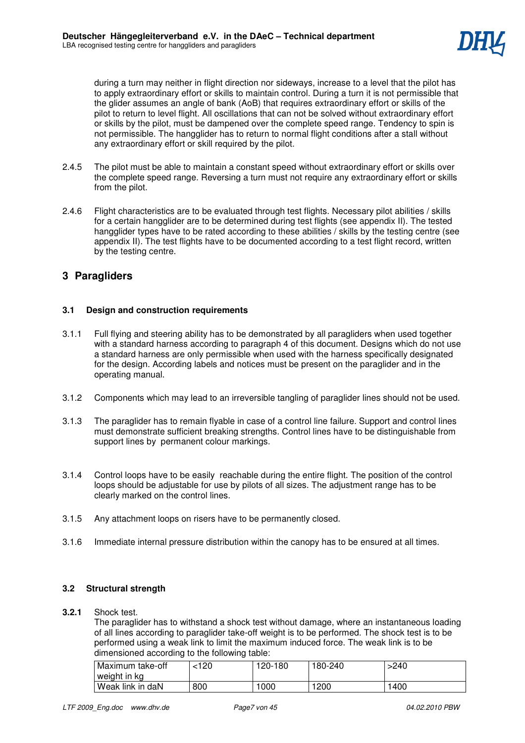

during a turn may neither in flight direction nor sideways, increase to a level that the pilot has to apply extraordinary effort or skills to maintain control. During a turn it is not permissible that the glider assumes an angle of bank (AoB) that requires extraordinary effort or skills of the pilot to return to level flight. All oscillations that can not be solved without extraordinary effort or skills by the pilot, must be dampened over the complete speed range. Tendency to spin is not permissible. The hangglider has to return to normal flight conditions after a stall without any extraordinary effort or skill required by the pilot.

- 2.4.5 The pilot must be able to maintain a constant speed without extraordinary effort or skills over the complete speed range. Reversing a turn must not require any extraordinary effort or skills from the pilot.
- 2.4.6 Flight characteristics are to be evaluated through test flights. Necessary pilot abilities / skills for a certain hangglider are to be determined during test flights (see appendix II). The tested hangglider types have to be rated according to these abilities / skills by the testing centre (see appendix II). The test flights have to be documented according to a test flight record, written by the testing centre.

# **3 Paragliders**

### **3.1 Design and construction requirements**

- 3.1.1 Full flying and steering ability has to be demonstrated by all paragliders when used together with a standard harness according to paragraph 4 of this document. Designs which do not use a standard harness are only permissible when used with the harness specifically designated for the design. According labels and notices must be present on the paraglider and in the operating manual.
- 3.1.2 Components which may lead to an irreversible tangling of paraglider lines should not be used.
- 3.1.3 The paraglider has to remain flyable in case of a control line failure. Support and control lines must demonstrate sufficient breaking strengths. Control lines have to be distinguishable from support lines by permanent colour markings.
- 3.1.4 Control loops have to be easily reachable during the entire flight. The position of the control loops should be adjustable for use by pilots of all sizes. The adjustment range has to be clearly marked on the control lines.
- 3.1.5 Any attachment loops on risers have to be permanently closed.
- 3.1.6 Immediate internal pressure distribution within the canopy has to be ensured at all times.

### **3.2 Structural strength**

#### **3.2.1** Shock test.

The paraglider has to withstand a shock test without damage, where an instantaneous loading of all lines according to paraglider take-off weight is to be performed. The shock test is to be performed using a weak link to limit the maximum induced force. The weak link is to be dimensioned according to the following table:

| Maximum take-off | 120> | 120-180 | 180-240 | 240ء |
|------------------|------|---------|---------|------|
| weight in kg     |      |         |         |      |
| Weak link in daN | 800  | 1000    | 1200    | 1400 |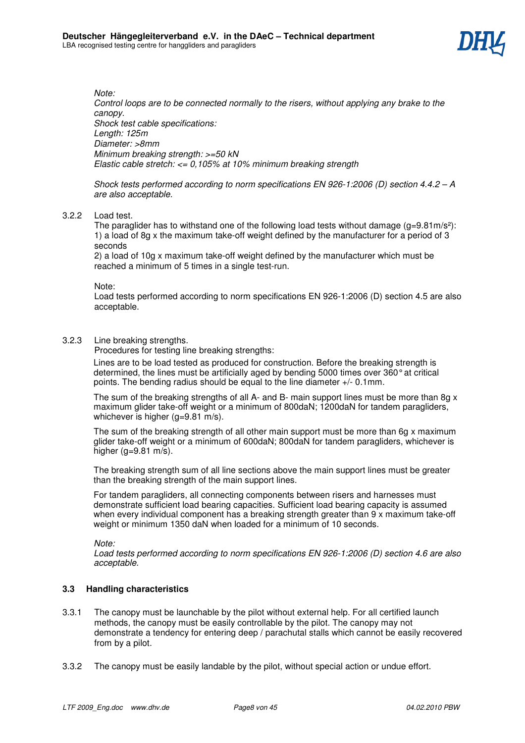

*Note:* 

*Control loops are to be connected normally to the risers, without applying any brake to the canopy. Shock test cable specifications: Length: 125m Diameter: >8mm Minimum breaking strength: >=50 kN Elastic cable stretch: <= 0,105% at 10% minimum breaking strength* 

*Shock tests performed according to norm specifications EN 926-1:2006 (D) section 4.4.2 – A are also acceptable.* 

#### 3.2.2 Load test.

The paraglider has to withstand one of the following load tests without damage  $(q=9.81 \text{ m/s}^2)$ : 1) a load of 8g x the maximum take-off weight defined by the manufacturer for a period of 3 seconds

2) a load of 10g x maximum take-off weight defined by the manufacturer which must be reached a minimum of 5 times in a single test-run.

Note:

Load tests performed according to norm specifications EN 926-1:2006 (D) section 4.5 are also acceptable.

### 3.2.3 Line breaking strengths.

Procedures for testing line breaking strengths:

Lines are to be load tested as produced for construction. Before the breaking strength is determined, the lines must be artificially aged by bending 5000 times over 360° at critical points. The bending radius should be equal to the line diameter +/- 0.1mm.

The sum of the breaking strengths of all A- and B- main support lines must be more than 8g x maximum glider take-off weight or a minimum of 800daN; 1200daN for tandem paragliders, whichever is higher (g=9.81 m/s).

The sum of the breaking strength of all other main support must be more than 6g x maximum glider take-off weight or a minimum of 600daN; 800daN for tandem paragliders, whichever is higher  $(a=9.81 \text{ m/s})$ .

The breaking strength sum of all line sections above the main support lines must be greater than the breaking strength of the main support lines.

For tandem paragliders, all connecting components between risers and harnesses must demonstrate sufficient load bearing capacities. Sufficient load bearing capacity is assumed when every individual component has a breaking strength greater than 9 x maximum take-off weight or minimum 1350 daN when loaded for a minimum of 10 seconds.

*Note:* 

*Load tests performed according to norm specifications EN 926-1:2006 (D) section 4.6 are also acceptable.* 

#### **3.3 Handling characteristics**

- 3.3.1 The canopy must be launchable by the pilot without external help. For all certified launch methods, the canopy must be easily controllable by the pilot. The canopy may not demonstrate a tendency for entering deep / parachutal stalls which cannot be easily recovered from by a pilot.
- 3.3.2 The canopy must be easily landable by the pilot, without special action or undue effort.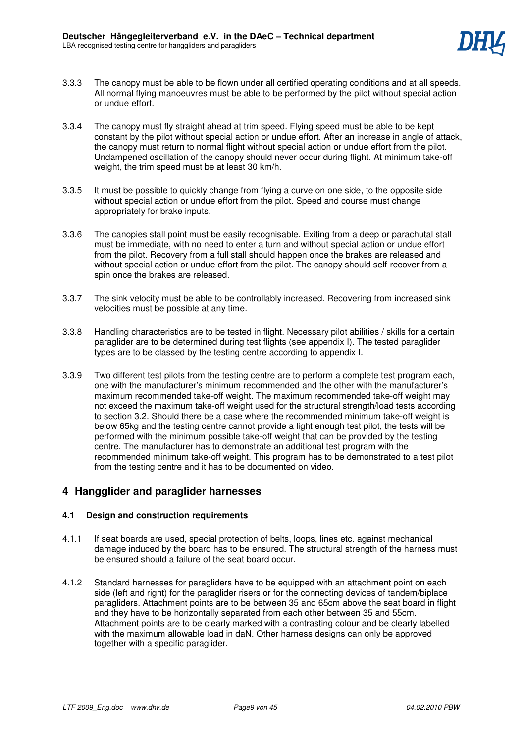- 3.3.3 The canopy must be able to be flown under all certified operating conditions and at all speeds. All normal flying manoeuvres must be able to be performed by the pilot without special action or undue effort.
- 3.3.4 The canopy must fly straight ahead at trim speed. Flying speed must be able to be kept constant by the pilot without special action or undue effort. After an increase in angle of attack, the canopy must return to normal flight without special action or undue effort from the pilot. Undampened oscillation of the canopy should never occur during flight. At minimum take-off weight, the trim speed must be at least 30 km/h.
- 3.3.5 It must be possible to quickly change from flying a curve on one side, to the opposite side without special action or undue effort from the pilot. Speed and course must change appropriately for brake inputs.
- 3.3.6 The canopies stall point must be easily recognisable. Exiting from a deep or parachutal stall must be immediate, with no need to enter a turn and without special action or undue effort from the pilot. Recovery from a full stall should happen once the brakes are released and without special action or undue effort from the pilot. The canopy should self-recover from a spin once the brakes are released.
- 3.3.7 The sink velocity must be able to be controllably increased. Recovering from increased sink velocities must be possible at any time.
- 3.3.8 Handling characteristics are to be tested in flight. Necessary pilot abilities / skills for a certain paraglider are to be determined during test flights (see appendix I). The tested paraglider types are to be classed by the testing centre according to appendix I.
- 3.3.9 Two different test pilots from the testing centre are to perform a complete test program each, one with the manufacturer's minimum recommended and the other with the manufacturer's maximum recommended take-off weight. The maximum recommended take-off weight may not exceed the maximum take-off weight used for the structural strength/load tests according to section 3.2. Should there be a case where the recommended minimum take-off weight is below 65kg and the testing centre cannot provide a light enough test pilot, the tests will be performed with the minimum possible take-off weight that can be provided by the testing centre. The manufacturer has to demonstrate an additional test program with the recommended minimum take-off weight. This program has to be demonstrated to a test pilot from the testing centre and it has to be documented on video.

# **4 Hangglider and paraglider harnesses**

### **4.1 Design and construction requirements**

- 4.1.1 If seat boards are used, special protection of belts, loops, lines etc. against mechanical damage induced by the board has to be ensured. The structural strength of the harness must be ensured should a failure of the seat board occur.
- 4.1.2 Standard harnesses for paragliders have to be equipped with an attachment point on each side (left and right) for the paraglider risers or for the connecting devices of tandem/biplace paragliders. Attachment points are to be between 35 and 65cm above the seat board in flight and they have to be horizontally separated from each other between 35 and 55cm. Attachment points are to be clearly marked with a contrasting colour and be clearly labelled with the maximum allowable load in daN. Other harness designs can only be approved together with a specific paraglider.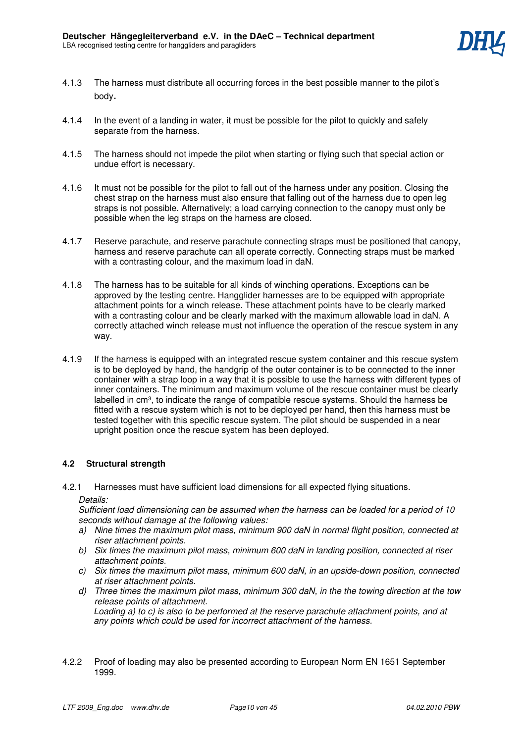

- 4.1.3 The harness must distribute all occurring forces in the best possible manner to the pilot's body.
- 4.1.4 In the event of a landing in water, it must be possible for the pilot to quickly and safely separate from the harness.
- 4.1.5 The harness should not impede the pilot when starting or flying such that special action or undue effort is necessary.
- 4.1.6 It must not be possible for the pilot to fall out of the harness under any position. Closing the chest strap on the harness must also ensure that falling out of the harness due to open leg straps is not possible. Alternatively; a load carrying connection to the canopy must only be possible when the leg straps on the harness are closed.
- 4.1.7 Reserve parachute, and reserve parachute connecting straps must be positioned that canopy, harness and reserve parachute can all operate correctly. Connecting straps must be marked with a contrasting colour, and the maximum load in daN.
- 4.1.8 The harness has to be suitable for all kinds of winching operations. Exceptions can be approved by the testing centre. Hangglider harnesses are to be equipped with appropriate attachment points for a winch release. These attachment points have to be clearly marked with a contrasting colour and be clearly marked with the maximum allowable load in daN. A correctly attached winch release must not influence the operation of the rescue system in any way.
- 4.1.9 If the harness is equipped with an integrated rescue system container and this rescue system is to be deployed by hand, the handgrip of the outer container is to be connected to the inner container with a strap loop in a way that it is possible to use the harness with different types of inner containers. The minimum and maximum volume of the rescue container must be clearly labelled in cm<sup>3</sup>, to indicate the range of compatible rescue systems. Should the harness be fitted with a rescue system which is not to be deployed per hand, then this harness must be tested together with this specific rescue system. The pilot should be suspended in a near upright position once the rescue system has been deployed.

### **4.2 Structural strength**

4.2.1 Harnesses must have sufficient load dimensions for all expected flying situations.

*Details:* 

*Sufficient load dimensioning can be assumed when the harness can be loaded for a period of 10 seconds without damage at the following values:* 

- *a) Nine times the maximum pilot mass, minimum 900 daN in normal flight position, connected at riser attachment points.*
- *b) Six times the maximum pilot mass, minimum 600 daN in landing position, connected at riser attachment points.*
- *c) Six times the maximum pilot mass, minimum 600 daN, in an upside-down position, connected at riser attachment points.*
- *d) Three times the maximum pilot mass, minimum 300 daN, in the the towing direction at the tow release points of attachment. Loading a) to c) is also to be performed at the reserve parachute attachment points, and at any points which could be used for incorrect attachment of the harness.*
- 4.2.2 Proof of loading may also be presented according to European Norm EN 1651 September 1999.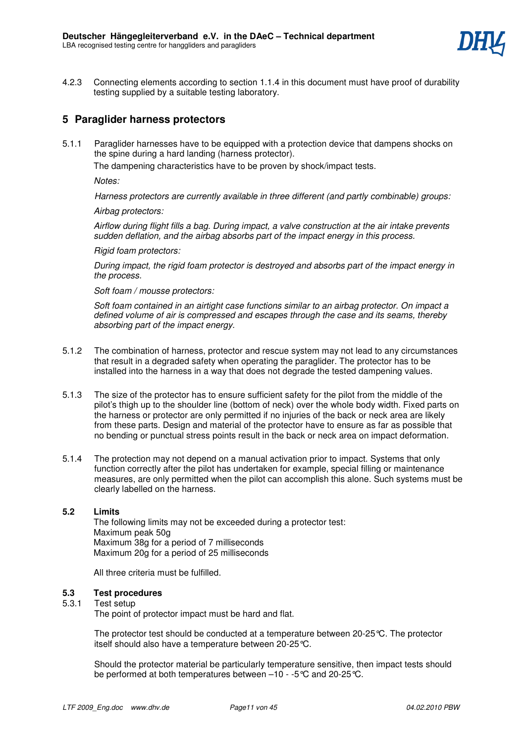

4.2.3 Connecting elements according to section 1.1.4 in this document must have proof of durability testing supplied by a suitable testing laboratory.

# **5 Paraglider harness protectors**

5.1.1 Paraglider harnesses have to be equipped with a protection device that dampens shocks on the spine during a hard landing (harness protector).

The dampening characteristics have to be proven by shock/impact tests.

*Notes:* 

 *Harness protectors are currently available in three different (and partly combinable) groups:* 

*Airbag protectors:* 

*Airflow during flight fills a bag. During impact, a valve construction at the air intake prevents sudden deflation, and the airbag absorbs part of the impact energy in this process.* 

*Rigid foam protectors:* 

*During impact, the rigid foam protector is destroyed and absorbs part of the impact energy in the process.* 

#### *Soft foam / mousse protectors:*

*Soft foam contained in an airtight case functions similar to an airbag protector. On impact a defined volume of air is compressed and escapes through the case and its seams, thereby absorbing part of the impact energy.*

- 5.1.2 The combination of harness, protector and rescue system may not lead to any circumstances that result in a degraded safety when operating the paraglider. The protector has to be installed into the harness in a way that does not degrade the tested dampening values.
- 5.1.3 The size of the protector has to ensure sufficient safety for the pilot from the middle of the pilot's thigh up to the shoulder line (bottom of neck) over the whole body width. Fixed parts on the harness or protector are only permitted if no injuries of the back or neck area are likely from these parts. Design and material of the protector have to ensure as far as possible that no bending or punctual stress points result in the back or neck area on impact deformation.
- 5.1.4 The protection may not depend on a manual activation prior to impact. Systems that only function correctly after the pilot has undertaken for example, special filling or maintenance measures, are only permitted when the pilot can accomplish this alone. Such systems must be clearly labelled on the harness.

### **5.2 Limits**

The following limits may not be exceeded during a protector test: Maximum peak 50g Maximum 38g for a period of 7 milliseconds Maximum 20g for a period of 25 milliseconds

All three criteria must be fulfilled.

# **5.3 Test procedures**

#### Test setup

The point of protector impact must be hard and flat.

The protector test should be conducted at a temperature between 20-25°C. The protector itself should also have a temperature between 20-25°C.

Should the protector material be particularly temperature sensitive, then impact tests should be performed at both temperatures between –10 - -5°C and 20-25°C.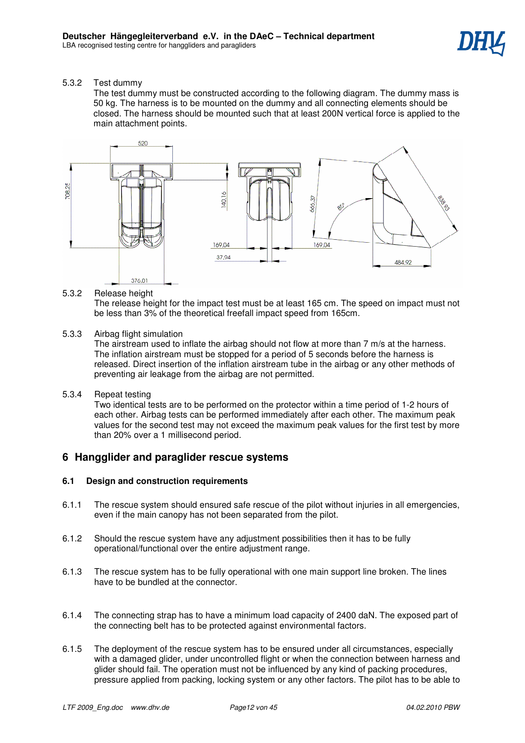5.3.2 Test dummy

 The test dummy must be constructed according to the following diagram. The dummy mass is 50 kg. The harness is to be mounted on the dummy and all connecting elements should be closed. The harness should be mounted such that at least 200N vertical force is applied to the main attachment points.



### 5.3.2 Release height

The release height for the impact test must be at least 165 cm. The speed on impact must not be less than 3% of the theoretical freefall impact speed from 165cm.

5.3.3 Airbag flight simulation

The airstream used to inflate the airbag should not flow at more than 7 m/s at the harness. The inflation airstream must be stopped for a period of 5 seconds before the harness is released. Direct insertion of the inflation airstream tube in the airbag or any other methods of preventing air leakage from the airbag are not permitted.

5.3.4 Repeat testing

Two identical tests are to be performed on the protector within a time period of 1-2 hours of each other. Airbag tests can be performed immediately after each other. The maximum peak values for the second test may not exceed the maximum peak values for the first test by more than 20% over a 1 millisecond period.

# **6 Hangglider and paraglider rescue systems**

### **6.1 Design and construction requirements**

- 6.1.1 The rescue system should ensured safe rescue of the pilot without injuries in all emergencies, even if the main canopy has not been separated from the pilot.
- 6.1.2 Should the rescue system have any adjustment possibilities then it has to be fully operational/functional over the entire adjustment range.
- 6.1.3 The rescue system has to be fully operational with one main support line broken. The lines have to be bundled at the connector.
- 6.1.4 The connecting strap has to have a minimum load capacity of 2400 daN. The exposed part of the connecting belt has to be protected against environmental factors.
- 6.1.5 The deployment of the rescue system has to be ensured under all circumstances, especially with a damaged glider, under uncontrolled flight or when the connection between harness and glider should fail. The operation must not be influenced by any kind of packing procedures, pressure applied from packing, locking system or any other factors. The pilot has to be able to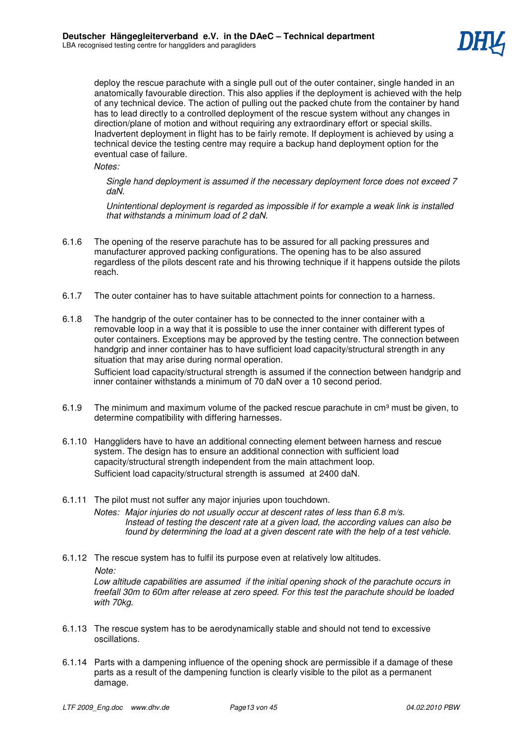

deploy the rescue parachute with a single pull out of the outer container, single handed in an anatomically favourable direction. This also applies if the deployment is achieved with the help of any technical device. The action of pulling out the packed chute from the container by hand has to lead directly to a controlled deployment of the rescue system without any changes in direction/plane of motion and without requiring any extraordinary effort or special skills. Inadvertent deployment in flight has to be fairly remote. If deployment is achieved by using a technical device the testing centre may require a backup hand deployment option for the eventual case of failure.

*Notes:* 

*Single hand deployment is assumed if the necessary deployment force does not exceed 7 daN.* 

*Unintentional deployment is regarded as impossible if for example a weak link is installed that withstands a minimum load of 2 daN.*

- 6.1.6 The opening of the reserve parachute has to be assured for all packing pressures and manufacturer approved packing configurations. The opening has to be also assured regardless of the pilots descent rate and his throwing technique if it happens outside the pilots reach.
- 6.1.7 The outer container has to have suitable attachment points for connection to a harness.
- 6.1.8 The handgrip of the outer container has to be connected to the inner container with a removable loop in a way that it is possible to use the inner container with different types of outer containers. Exceptions may be approved by the testing centre. The connection between handgrip and inner container has to have sufficient load capacity/structural strength in any situation that may arise during normal operation.

 Sufficient load capacity/structural strength is assumed if the connection between handgrip and inner container withstands a minimum of 70 daN over a 10 second period.

- 6.1.9 The minimum and maximum volume of the packed rescue parachute in  $\text{cm}^3$  must be given, to determine compatibility with differing harnesses.
- 6.1.10 Hanggliders have to have an additional connecting element between harness and rescue system. The design has to ensure an additional connection with sufficient load capacity/structural strength independent from the main attachment loop. Sufficient load capacity/structural strength is assumed at 2400 daN.
- 6.1.11 The pilot must not suffer any major injuries upon touchdown. *Notes: Major injuries do not usually occur at descent rates of less than 6.8 m/s. Instead of testing the descent rate at a given load, the according values can also be found by determining the load at a given descent rate with the help of a test vehicle.*
- 6.1.12 The rescue system has to fulfil its purpose even at relatively low altitudes.  *Note: Low altitude capabilities are assumed if the initial opening shock of the parachute occurs in freefall 30m to 60m after release at zero speed. For this test the parachute should be loaded with 70kg.*
- 6.1.13 The rescue system has to be aerodynamically stable and should not tend to excessive oscillations.
- 6.1.14 Parts with a dampening influence of the opening shock are permissible if a damage of these parts as a result of the dampening function is clearly visible to the pilot as a permanent damage.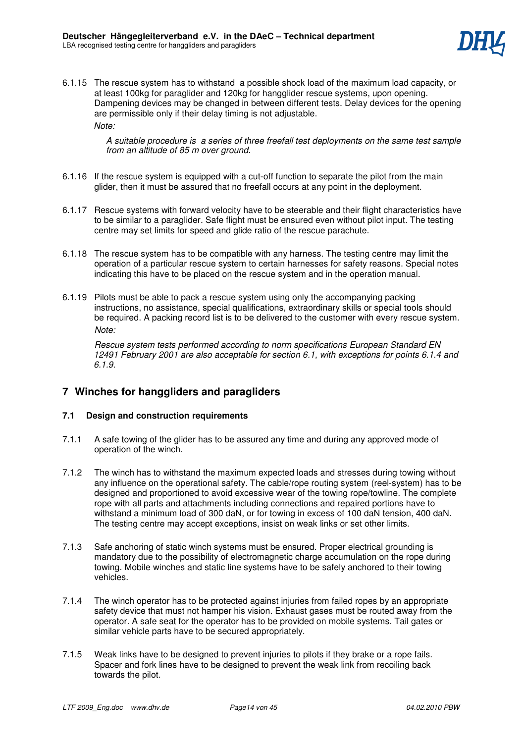

6.1.15 The rescue system has to withstand a possible shock load of the maximum load capacity, or at least 100kg for paraglider and 120kg for hangglider rescue systems, upon opening. Dampening devices may be changed in between different tests. Delay devices for the opening are permissible only if their delay timing is not adjustable. *Note:* 

> *A suitable procedure is a series of three freefall test deployments on the same test sample from an altitude of 85 m over ground.*

- 6.1.16 If the rescue system is equipped with a cut-off function to separate the pilot from the main glider, then it must be assured that no freefall occurs at any point in the deployment.
- 6.1.17 Rescue systems with forward velocity have to be steerable and their flight characteristics have to be similar to a paraglider. Safe flight must be ensured even without pilot input. The testing centre may set limits for speed and glide ratio of the rescue parachute.
- 6.1.18 The rescue system has to be compatible with any harness. The testing centre may limit the operation of a particular rescue system to certain harnesses for safety reasons. Special notes indicating this have to be placed on the rescue system and in the operation manual.
- 6.1.19 Pilots must be able to pack a rescue system using only the accompanying packing instructions, no assistance, special qualifications, extraordinary skills or special tools should be required. A packing record list is to be delivered to the customer with every rescue system. *Note:*

 *Rescue system tests performed according to norm specifications European Standard EN 12491 February 2001 are also acceptable for section 6.1, with exceptions for points 6.1.4 and 6.1.9.* 

# **7 Winches for hanggliders and paragliders**

### **7.1 Design and construction requirements**

- 7.1.1 A safe towing of the glider has to be assured any time and during any approved mode of operation of the winch.
- 7.1.2 The winch has to withstand the maximum expected loads and stresses during towing without any influence on the operational safety. The cable/rope routing system (reel-system) has to be designed and proportioned to avoid excessive wear of the towing rope/towline. The complete rope with all parts and attachments including connections and repaired portions have to withstand a minimum load of 300 daN, or for towing in excess of 100 daN tension, 400 daN. The testing centre may accept exceptions, insist on weak links or set other limits.
- 7.1.3 Safe anchoring of static winch systems must be ensured. Proper electrical grounding is mandatory due to the possibility of electromagnetic charge accumulation on the rope during towing. Mobile winches and static line systems have to be safely anchored to their towing vehicles.
- 7.1.4 The winch operator has to be protected against injuries from failed ropes by an appropriate safety device that must not hamper his vision. Exhaust gases must be routed away from the operator. A safe seat for the operator has to be provided on mobile systems. Tail gates or similar vehicle parts have to be secured appropriately.
- 7.1.5 Weak links have to be designed to prevent injuries to pilots if they brake or a rope fails. Spacer and fork lines have to be designed to prevent the weak link from recoiling back towards the pilot.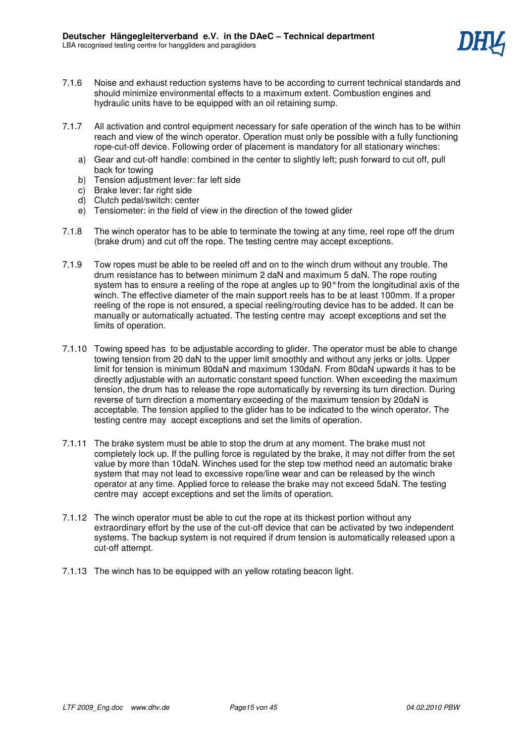- 7.1.6 Noise and exhaust reduction systems have to be according to current technical standards and should minimize environmental effects to a maximum extent. Combustion engines and hydraulic units have to be equipped with an oil retaining sump.
- 7.1.7 All activation and control equipment necessary for safe operation of the winch has to be within reach and view of the winch operator. Operation must only be possible with a fully functioning rope-cut-off device. Following order of placement is mandatory for all stationary winches:
	- a) Gear and cut-off handle: combined in the center to slightly left; push forward to cut off, pull back for towing
	- b) Tension adjustment lever: far left side
	- c) Brake lever: far right side
	- d) Clutch pedal/switch: center
	- e) Tensiometer: in the field of view in the direction of the towed glider
- 7.1.8 The winch operator has to be able to terminate the towing at any time, reel rope off the drum (brake drum) and cut off the rope. The testing centre may accept exceptions.
- 7.1.9 Tow ropes must be able to be reeled off and on to the winch drum without any trouble. The drum resistance has to between minimum 2 daN and maximum 5 daN. The rope routing system has to ensure a reeling of the rope at angles up to 90° from the longitudinal axis of the winch. The effective diameter of the main support reels has to be at least 100mm. If a proper reeling of the rope is not ensured, a special reeling/routing device has to be added. It can be manually or automatically actuated. The testing centre may accept exceptions and set the limits of operation.
- 7.1.10 Towing speed has to be adjustable according to glider. The operator must be able to change towing tension from 20 daN to the upper limit smoothly and without any jerks or jolts. Upper limit for tension is minimum 80daN and maximum 130daN. From 80daN upwards it has to be directly adjustable with an automatic constant speed function. When exceeding the maximum tension, the drum has to release the rope automatically by reversing its turn direction. During reverse of turn direction a momentary exceeding of the maximum tension by 20daN is acceptable. The tension applied to the glider has to be indicated to the winch operator. The testing centre may accept exceptions and set the limits of operation.
- 7.1.11 The brake system must be able to stop the drum at any moment. The brake must not completely lock up. If the pulling force is regulated by the brake, it may not differ from the set value by more than 10daN. Winches used for the step tow method need an automatic brake system that may not lead to excessive rope/line wear and can be released by the winch operator at any time. Applied force to release the brake may not exceed 5daN. The testing centre may accept exceptions and set the limits of operation.
- 7.1.12 The winch operator must be able to cut the rope at its thickest portion without any extraordinary effort by the use of the cut-off device that can be activated by two independent systems. The backup system is not required if drum tension is automatically released upon a cut-off attempt.
- 7.1.13 The winch has to be equipped with an yellow rotating beacon light.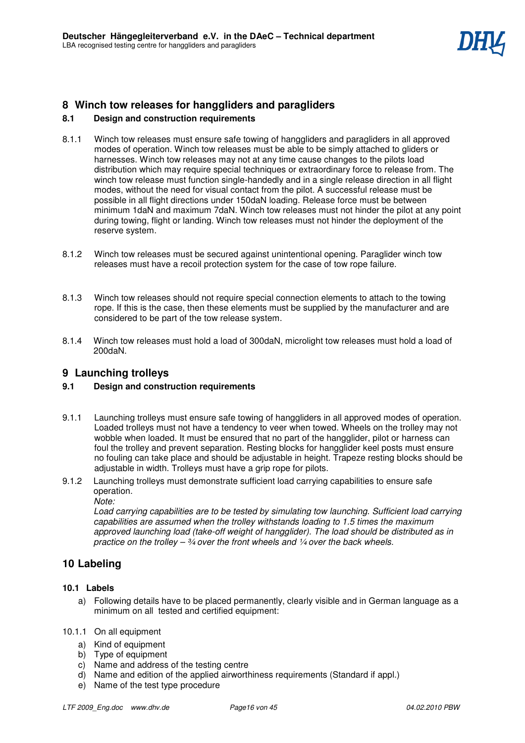# **8 Winch tow releases for hanggliders and paragliders**

# **8.1 Design and construction requirements**

- 8.1.1 Winch tow releases must ensure safe towing of hanggliders and paragliders in all approved modes of operation. Winch tow releases must be able to be simply attached to gliders or harnesses. Winch tow releases may not at any time cause changes to the pilots load distribution which may require special techniques or extraordinary force to release from. The winch tow release must function single-handedly and in a single release direction in all flight modes, without the need for visual contact from the pilot. A successful release must be possible in all flight directions under 150daN loading. Release force must be between minimum 1daN and maximum 7daN. Winch tow releases must not hinder the pilot at any point during towing, flight or landing. Winch tow releases must not hinder the deployment of the reserve system.
- 8.1.2 Winch tow releases must be secured against unintentional opening. Paraglider winch tow releases must have a recoil protection system for the case of tow rope failure.
- 8.1.3 Winch tow releases should not require special connection elements to attach to the towing rope. If this is the case, then these elements must be supplied by the manufacturer and are considered to be part of the tow release system.
- 8.1.4 Winch tow releases must hold a load of 300daN, microlight tow releases must hold a load of 200daN.

# **9 Launching trolleys**

# **9.1 Design and construction requirements**

- 9.1.1 Launching trolleys must ensure safe towing of hanggliders in all approved modes of operation. Loaded trolleys must not have a tendency to veer when towed. Wheels on the trolley may not wobble when loaded. It must be ensured that no part of the hangglider, pilot or harness can foul the trolley and prevent separation. Resting blocks for hangglider keel posts must ensure no fouling can take place and should be adjustable in height. Trapeze resting blocks should be adjustable in width. Trolleys must have a grip rope for pilots.
- 9.1.2 Launching trolleys must demonstrate sufficient load carrying capabilities to ensure safe operation.

*Note:* 

*Load carrying capabilities are to be tested by simulating tow launching. Sufficient load carrying capabilities are assumed when the trolley withstands loading to 1.5 times the maximum approved launching load (take-off weight of hangglider). The load should be distributed as in practice on the trolley – ¾ over the front wheels and ¼ over the back wheels.* 

# **10 Labeling**

### **10.1 Labels**

a) Following details have to be placed permanently, clearly visible and in German language as a minimum on all tested and certified equipment:

### 10.1.1 On all equipment

- a) Kind of equipment
- b) Type of equipment
- c) Name and address of the testing centre
- d) Name and edition of the applied airworthiness requirements (Standard if appl.)
- e) Name of the test type procedure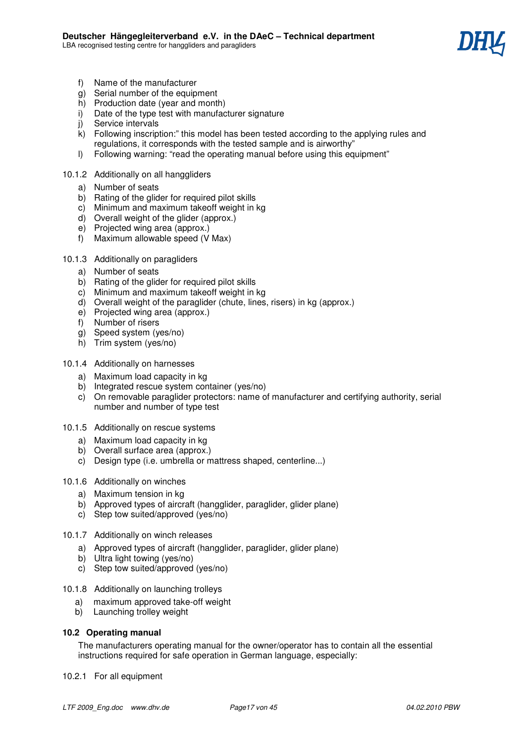

- f) Name of the manufacturer
- $\alpha$ ) Serial number of the equipment
- h) Production date (year and month)
- i) Date of the type test with manufacturer signature
- j) Service intervals
- k) Following inscription:" this model has been tested according to the applying rules and regulations, it corresponds with the tested sample and is airworthy"
- l) Following warning: "read the operating manual before using this equipment"
- 10.1.2 Additionally on all hanggliders
	- a) Number of seats
	- b) Rating of the glider for required pilot skills
	- c) Minimum and maximum takeoff weight in kg
	- d) Overall weight of the glider (approx.)
	- e) Projected wing area (approx.)
	- f) Maximum allowable speed (V Max)

### 10.1.3 Additionally on paragliders

- a) Number of seats
- b) Rating of the glider for required pilot skills
- c) Minimum and maximum takeoff weight in kg
- d) Overall weight of the paraglider (chute, lines, risers) in kg (approx.)
- e) Projected wing area (approx.)
- f) Number of risers
- g) Speed system (yes/no)
- h) Trim system (yes/no)

### 10.1.4 Additionally on harnesses

- a) Maximum load capacity in kg
- b) Integrated rescue system container (yes/no)
- c) On removable paraglider protectors: name of manufacturer and certifying authority, serial number and number of type test
- 10.1.5 Additionally on rescue systems
	- a) Maximum load capacity in kg
	- b) Overall surface area (approx.)
	- c) Design type (i.e. umbrella or mattress shaped, centerline...)

### 10.1.6 Additionally on winches

- a) Maximum tension in kg
- b) Approved types of aircraft (hangglider, paraglider, glider plane)
- c) Step tow suited/approved (yes/no)
- 10.1.7 Additionally on winch releases
	- a) Approved types of aircraft (hangglider, paraglider, glider plane)
	- b) Ultra light towing (yes/no)
	- c) Step tow suited/approved (yes/no)
- 10.1.8 Additionally on launching trolleys
	- a) maximum approved take-off weight
	- b) Launching trolley weight

### **10.2 Operating manual**

The manufacturers operating manual for the owner/operator has to contain all the essential instructions required for safe operation in German language, especially:

10.2.1 For all equipment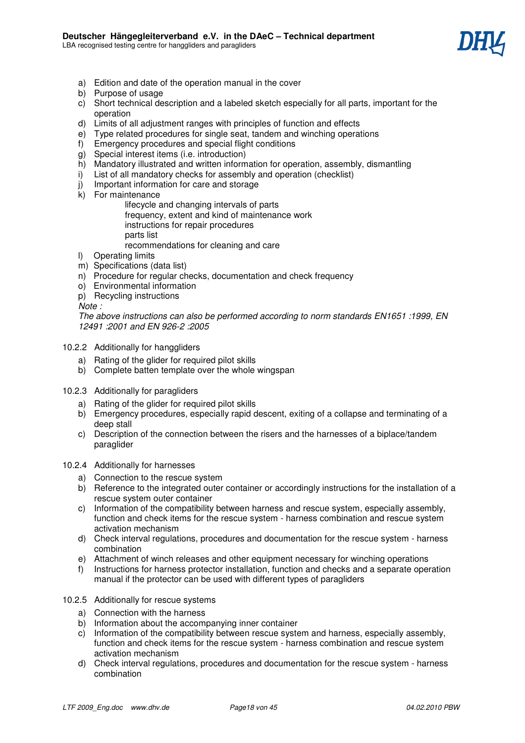

- a) Edition and date of the operation manual in the cover
- b) Purpose of usage
- c) Short technical description and a labeled sketch especially for all parts, important for the operation
- d) Limits of all adjustment ranges with principles of function and effects
- e) Type related procedures for single seat, tandem and winching operations
- f) Emergency procedures and special flight conditions
- g) Special interest items (i.e. introduction)
- h) Mandatory illustrated and written information for operation, assembly, dismantling
- i) List of all mandatory checks for assembly and operation (checklist)
- j) Important information for care and storage
- k) For maintenance

 lifecycle and changing intervals of parts frequency, extent and kind of maintenance work instructions for repair procedures parts list

recommendations for cleaning and care

- l) Operating limits
- m) Specifications (data list)
- n) Procedure for regular checks, documentation and check frequency
- o) Environmental information
- p) Recycling instructions

*Note :* 

*The above instructions can also be performed according to norm standards EN1651 :1999, EN 12491 :2001 and EN 926-2 :2005* 

- 10.2.2 Additionally for hanggliders
	- a) Rating of the glider for required pilot skills
	- b) Complete batten template over the whole wingspan
- 10.2.3 Additionally for paragliders
	- a) Rating of the glider for required pilot skills
	- b) Emergency procedures, especially rapid descent, exiting of a collapse and terminating of a deep stall
	- c) Description of the connection between the risers and the harnesses of a biplace/tandem paraglider
- 10.2.4 Additionally for harnesses
	- a) Connection to the rescue system
	- b) Reference to the integrated outer container or accordingly instructions for the installation of a rescue system outer container
	- c) Information of the compatibility between harness and rescue system, especially assembly, function and check items for the rescue system - harness combination and rescue system activation mechanism
	- d) Check interval regulations, procedures and documentation for the rescue system harness combination
	- e) Attachment of winch releases and other equipment necessary for winching operations
	- f) Instructions for harness protector installation, function and checks and a separate operation manual if the protector can be used with different types of paragliders
- 10.2.5 Additionally for rescue systems
	- a) Connection with the harness
	- b) Information about the accompanying inner container
	- c) Information of the compatibility between rescue system and harness, especially assembly, function and check items for the rescue system - harness combination and rescue system activation mechanism
	- d) Check interval regulations, procedures and documentation for the rescue system harness combination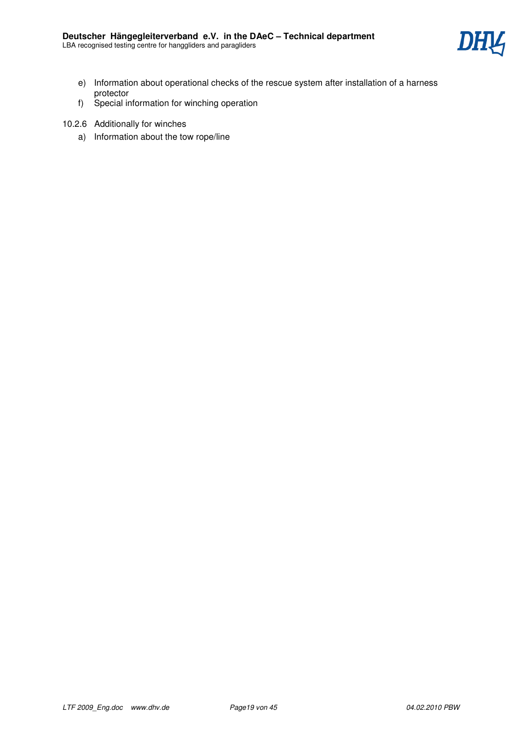

- e) Information about operational checks of the rescue system after installation of a harness protector
- f) Special information for winching operation
- 10.2.6 Additionally for winches
	- a) Information about the tow rope/line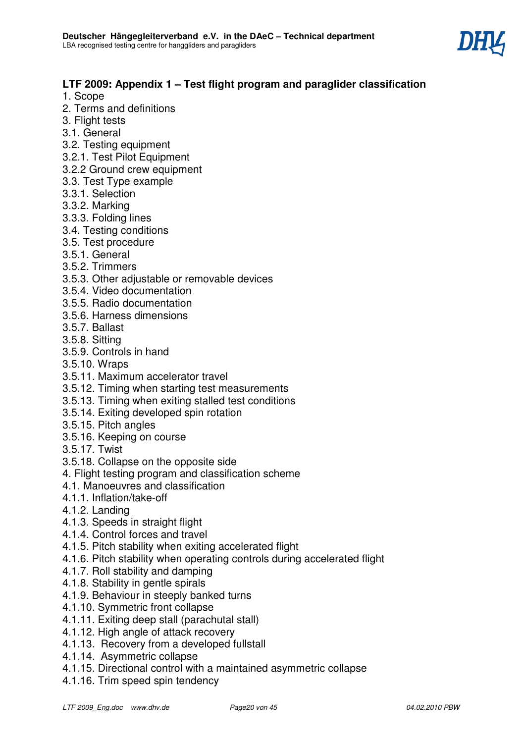

# **LTF 2009: Appendix 1 – Test flight program and paraglider classification**

- 1. Scope
- 2. Terms and definitions
- 3. Flight tests
- 3.1. General
- 3.2. Testing equipment
- 3.2.1. Test Pilot Equipment
- 3.2.2 Ground crew equipment
- 3.3. Test Type example
- 3.3.1. Selection
- 3.3.2. Marking
- 3.3.3. Folding lines
- 3.4. Testing conditions
- 3.5. Test procedure
- 3.5.1. General
- 3.5.2. Trimmers
- 3.5.3. Other adjustable or removable devices
- 3.5.4. Video documentation
- 3.5.5. Radio documentation
- 3.5.6. Harness dimensions
- 3.5.7. Ballast
- 3.5.8. Sitting
- 3.5.9. Controls in hand
- 3.5.10. Wraps
- 3.5.11. Maximum accelerator travel
- 3.5.12. Timing when starting test measurements
- 3.5.13. Timing when exiting stalled test conditions
- 3.5.14. Exiting developed spin rotation
- 3.5.15. Pitch angles
- 3.5.16. Keeping on course
- 3.5.17. Twist
- 3.5.18. Collapse on the opposite side
- 4. Flight testing program and classification scheme
- 4.1. Manoeuvres and classification
- 4.1.1. Inflation/take-off
- 4.1.2. Landing
- 4.1.3. Speeds in straight flight
- 4.1.4. Control forces and travel
- 4.1.5. Pitch stability when exiting accelerated flight
- 4.1.6. Pitch stability when operating controls during accelerated flight
- 4.1.7. Roll stability and damping
- 4.1.8. Stability in gentle spirals
- 4.1.9. Behaviour in steeply banked turns
- 4.1.10. Symmetric front collapse
- 4.1.11. Exiting deep stall (parachutal stall)
- 4.1.12. High angle of attack recovery
- 4.1.13. Recovery from a developed fullstall
- 4.1.14. Asymmetric collapse
- 4.1.15. Directional control with a maintained asymmetric collapse
- 4.1.16. Trim speed spin tendency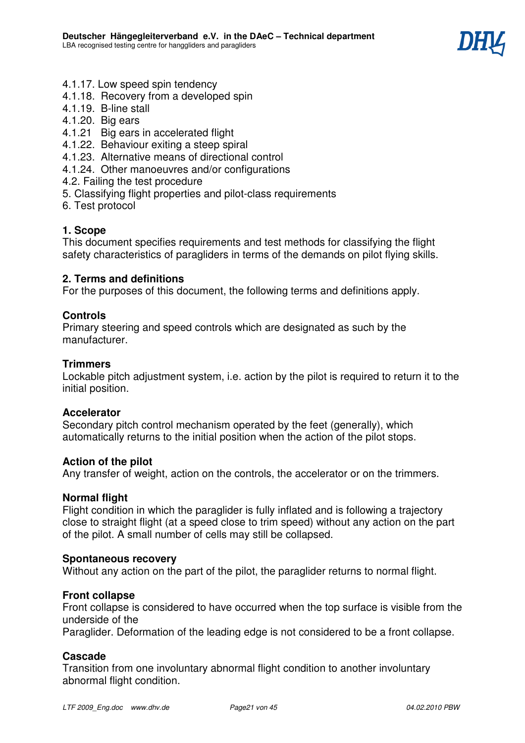

- 4.1.17. Low speed spin tendency
- 4.1.18. Recovery from a developed spin
- 4.1.19. B-line stall
- 4.1.20. Big ears
- 4.1.21 Big ears in accelerated flight
- 4.1.22. Behaviour exiting a steep spiral
- 4.1.23. Alternative means of directional control
- 4.1.24. Other manoeuvres and/or configurations
- 4.2. Failing the test procedure
- 5. Classifying flight properties and pilot-class requirements
- 6. Test protocol

# **1. Scope**

This document specifies requirements and test methods for classifying the flight safety characteristics of paragliders in terms of the demands on pilot flying skills.

# **2. Terms and definitions**

For the purposes of this document, the following terms and definitions apply.

# **Controls**

Primary steering and speed controls which are designated as such by the manufacturer.

# **Trimmers**

Lockable pitch adjustment system, i.e. action by the pilot is required to return it to the initial position.

# **Accelerator**

Secondary pitch control mechanism operated by the feet (generally), which automatically returns to the initial position when the action of the pilot stops.

# **Action of the pilot**

Any transfer of weight, action on the controls, the accelerator or on the trimmers.

# **Normal flight**

Flight condition in which the paraglider is fully inflated and is following a trajectory close to straight flight (at a speed close to trim speed) without any action on the part of the pilot. A small number of cells may still be collapsed.

# **Spontaneous recovery**

Without any action on the part of the pilot, the paraglider returns to normal flight.

# **Front collapse**

Front collapse is considered to have occurred when the top surface is visible from the underside of the

Paraglider. Deformation of the leading edge is not considered to be a front collapse.

# **Cascade**

Transition from one involuntary abnormal flight condition to another involuntary abnormal flight condition.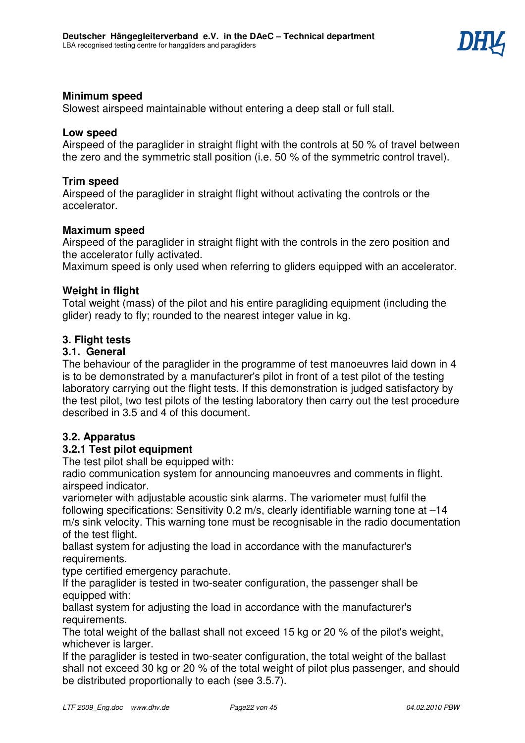

# **Minimum speed**

Slowest airspeed maintainable without entering a deep stall or full stall.

### **Low speed**

Airspeed of the paraglider in straight flight with the controls at 50 % of travel between the zero and the symmetric stall position (i.e. 50 % of the symmetric control travel).

# **Trim speed**

Airspeed of the paraglider in straight flight without activating the controls or the accelerator.

### **Maximum speed**

Airspeed of the paraglider in straight flight with the controls in the zero position and the accelerator fully activated.

Maximum speed is only used when referring to gliders equipped with an accelerator.

# **Weight in flight**

Total weight (mass) of the pilot and his entire paragliding equipment (including the glider) ready to fly; rounded to the nearest integer value in kg.

### **3. Flight tests**

### **3.1. General**

The behaviour of the paraglider in the programme of test manoeuvres laid down in 4 is to be demonstrated by a manufacturer's pilot in front of a test pilot of the testing laboratory carrying out the flight tests. If this demonstration is judged satisfactory by the test pilot, two test pilots of the testing laboratory then carry out the test procedure described in 3.5 and 4 of this document.

# **3.2. Apparatus**

# **3.2.1 Test pilot equipment**

The test pilot shall be equipped with:

radio communication system for announcing manoeuvres and comments in flight. airspeed indicator.

variometer with adjustable acoustic sink alarms. The variometer must fulfil the following specifications: Sensitivity 0.2 m/s, clearly identifiable warning tone at –14 m/s sink velocity. This warning tone must be recognisable in the radio documentation of the test flight.

ballast system for adjusting the load in accordance with the manufacturer's requirements.

type certified emergency parachute.

If the paraglider is tested in two-seater configuration, the passenger shall be equipped with:

ballast system for adjusting the load in accordance with the manufacturer's requirements.

The total weight of the ballast shall not exceed 15 kg or 20 % of the pilot's weight, whichever is larger.

If the paraglider is tested in two-seater configuration, the total weight of the ballast shall not exceed 30 kg or 20 % of the total weight of pilot plus passenger, and should be distributed proportionally to each (see 3.5.7).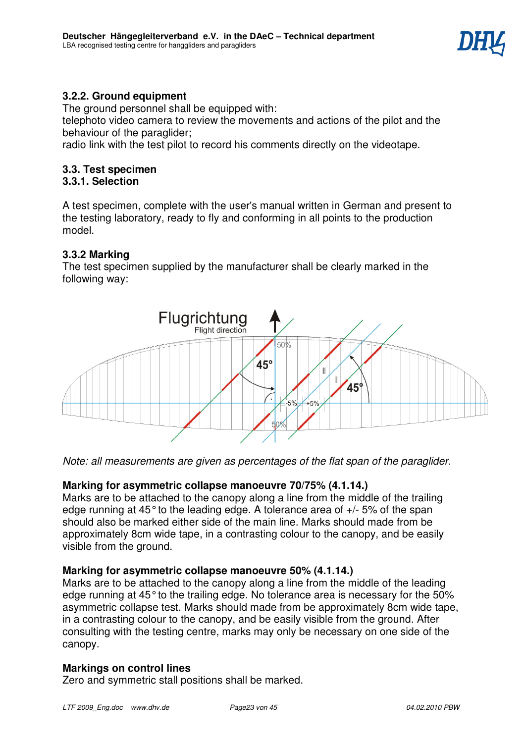

# **3.2.2. Ground equipment**

The ground personnel shall be equipped with:

telephoto video camera to review the movements and actions of the pilot and the behaviour of the paraglider;

radio link with the test pilot to record his comments directly on the videotape.

### **3.3. Test specimen 3.3.1. Selection**

A test specimen, complete with the user's manual written in German and present to the testing laboratory, ready to fly and conforming in all points to the production model.

# **3.3.2 Marking**

The test specimen supplied by the manufacturer shall be clearly marked in the following way:



*Note: all measurements are given as percentages of the flat span of the paraglider.* 

# **Marking for asymmetric collapse manoeuvre 70/75% (4.1.14.)**

Marks are to be attached to the canopy along a line from the middle of the trailing edge running at 45° to the leading edge. A tolerance area of +/- 5% of the span should also be marked either side of the main line. Marks should made from be approximately 8cm wide tape, in a contrasting colour to the canopy, and be easily visible from the ground.

# **Marking for asymmetric collapse manoeuvre 50% (4.1.14.)**

Marks are to be attached to the canopy along a line from the middle of the leading edge running at 45° to the trailing edge. No tolerance area is necessary for the 50% asymmetric collapse test. Marks should made from be approximately 8cm wide tape, in a contrasting colour to the canopy, and be easily visible from the ground. After consulting with the testing centre, marks may only be necessary on one side of the canopy.

# **Markings on control lines**

Zero and symmetric stall positions shall be marked.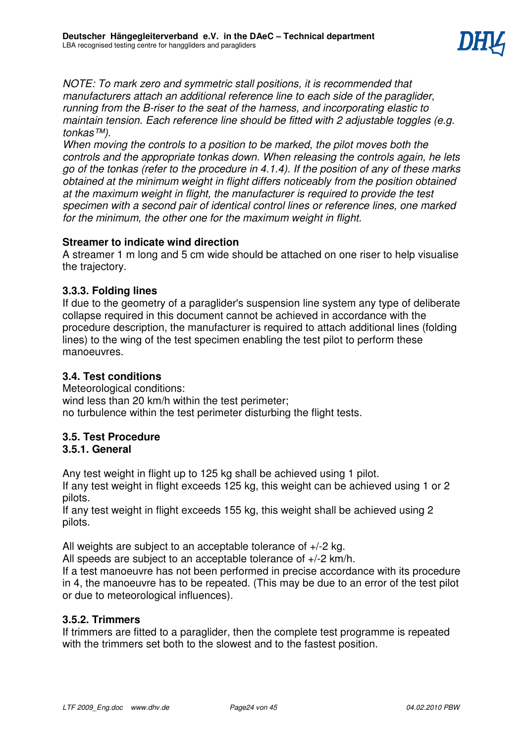

*NOTE: To mark zero and symmetric stall positions, it is recommended that manufacturers attach an additional reference line to each side of the paraglider, running from the B-riser to the seat of the harness, and incorporating elastic to maintain tension. Each reference line should be fitted with 2 adjustable toggles (e.g. tonkas™).* 

*When moving the controls to a position to be marked, the pilot moves both the controls and the appropriate tonkas down. When releasing the controls again, he lets go of the tonkas (refer to the procedure in 4.1.4). If the position of any of these marks obtained at the minimum weight in flight differs noticeably from the position obtained at the maximum weight in flight, the manufacturer is required to provide the test specimen with a second pair of identical control lines or reference lines, one marked for the minimum, the other one for the maximum weight in flight.*

# **Streamer to indicate wind direction**

A streamer 1 m long and 5 cm wide should be attached on one riser to help visualise the trajectory.

# **3.3.3. Folding lines**

If due to the geometry of a paraglider's suspension line system any type of deliberate collapse required in this document cannot be achieved in accordance with the procedure description, the manufacturer is required to attach additional lines (folding lines) to the wing of the test specimen enabling the test pilot to perform these manoeuvres.

# **3.4. Test conditions**

Meteorological conditions: wind less than 20 km/h within the test perimeter; no turbulence within the test perimeter disturbing the flight tests.

# **3.5. Test Procedure**

# **3.5.1. General**

Any test weight in flight up to 125 kg shall be achieved using 1 pilot.

If any test weight in flight exceeds 125 kg, this weight can be achieved using 1 or 2 pilots.

If any test weight in flight exceeds 155 kg, this weight shall be achieved using 2 pilots.

All weights are subject to an acceptable tolerance of +/-2 kg.

All speeds are subject to an acceptable tolerance of +/-2 km/h.

If a test manoeuvre has not been performed in precise accordance with its procedure in 4, the manoeuvre has to be repeated. (This may be due to an error of the test pilot or due to meteorological influences).

# **3.5.2. Trimmers**

If trimmers are fitted to a paraglider, then the complete test programme is repeated with the trimmers set both to the slowest and to the fastest position.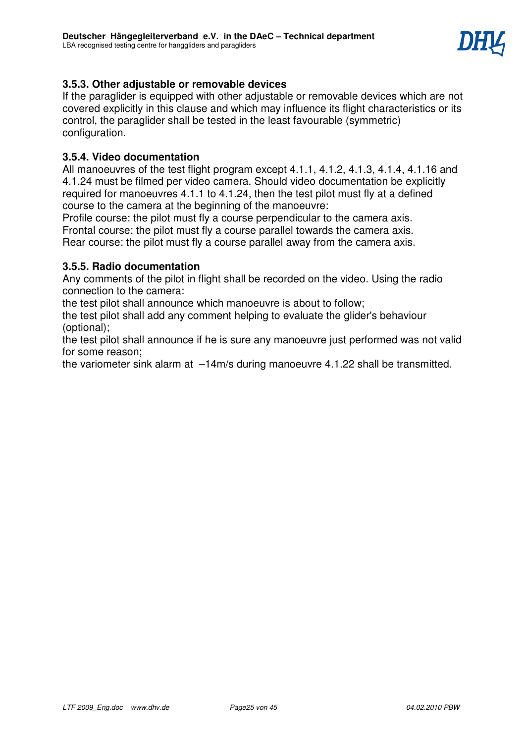

# **3.5.3. Other adjustable or removable devices**

If the paraglider is equipped with other adjustable or removable devices which are not covered explicitly in this clause and which may influence its flight characteristics or its control, the paraglider shall be tested in the least favourable (symmetric) configuration.

# **3.5.4. Video documentation**

All manoeuvres of the test flight program except 4.1.1, 4.1.2, 4.1.3, 4.1.4, 4.1.16 and 4.1.24 must be filmed per video camera. Should video documentation be explicitly required for manoeuvres 4.1.1 to 4.1.24, then the test pilot must fly at a defined course to the camera at the beginning of the manoeuvre:

Profile course: the pilot must fly a course perpendicular to the camera axis. Frontal course: the pilot must fly a course parallel towards the camera axis. Rear course: the pilot must fly a course parallel away from the camera axis.

# **3.5.5. Radio documentation**

Any comments of the pilot in flight shall be recorded on the video. Using the radio connection to the camera:

the test pilot shall announce which manoeuvre is about to follow;

the test pilot shall add any comment helping to evaluate the glider's behaviour (optional);

the test pilot shall announce if he is sure any manoeuvre just performed was not valid for some reason;

the variometer sink alarm at –14m/s during manoeuvre 4.1.22 shall be transmitted.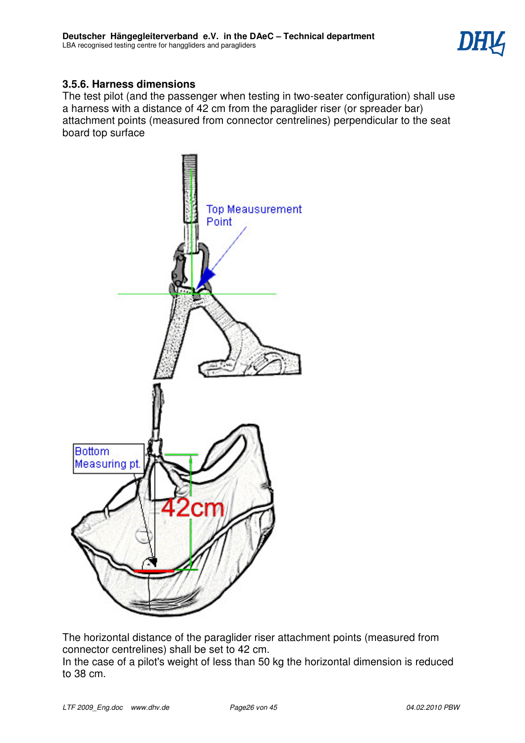

# **3.5.6. Harness dimensions**

The test pilot (and the passenger when testing in two-seater configuration) shall use a harness with a distance of 42 cm from the paraglider riser (or spreader bar) attachment points (measured from connector centrelines) perpendicular to the seat board top surface



The horizontal distance of the paraglider riser attachment points (measured from connector centrelines) shall be set to 42 cm.

In the case of a pilot's weight of less than 50 kg the horizontal dimension is reduced to 38 cm.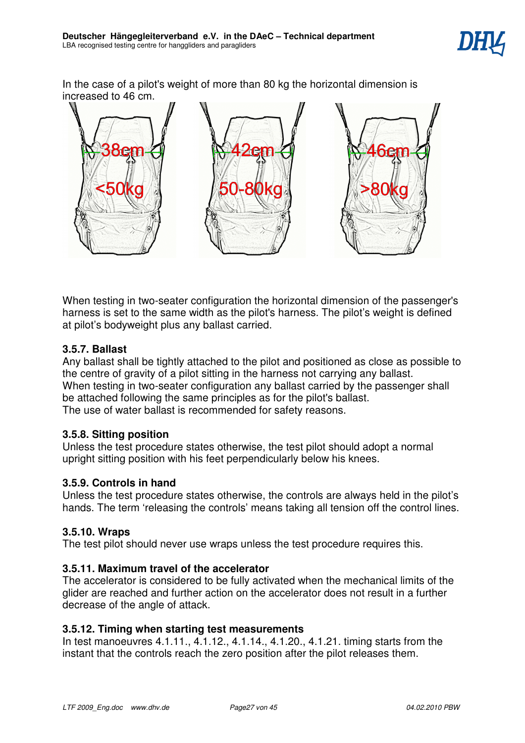

In the case of a pilot's weight of more than 80 kg the horizontal dimension is increased to 46 cm.



When testing in two-seater configuration the horizontal dimension of the passenger's harness is set to the same width as the pilot's harness. The pilot's weight is defined at pilot's bodyweight plus any ballast carried.

# **3.5.7. Ballast**

Any ballast shall be tightly attached to the pilot and positioned as close as possible to the centre of gravity of a pilot sitting in the harness not carrying any ballast. When testing in two-seater configuration any ballast carried by the passenger shall be attached following the same principles as for the pilot's ballast. The use of water ballast is recommended for safety reasons.

# **3.5.8. Sitting position**

Unless the test procedure states otherwise, the test pilot should adopt a normal upright sitting position with his feet perpendicularly below his knees.

# **3.5.9. Controls in hand**

Unless the test procedure states otherwise, the controls are always held in the pilot's hands. The term 'releasing the controls' means taking all tension off the control lines.

# **3.5.10. Wraps**

The test pilot should never use wraps unless the test procedure requires this.

# **3.5.11. Maximum travel of the accelerator**

The accelerator is considered to be fully activated when the mechanical limits of the glider are reached and further action on the accelerator does not result in a further decrease of the angle of attack.

# **3.5.12. Timing when starting test measurements**

In test manoeuvres 4.1.11., 4.1.12., 4.1.14., 4.1.20., 4.1.21. timing starts from the instant that the controls reach the zero position after the pilot releases them.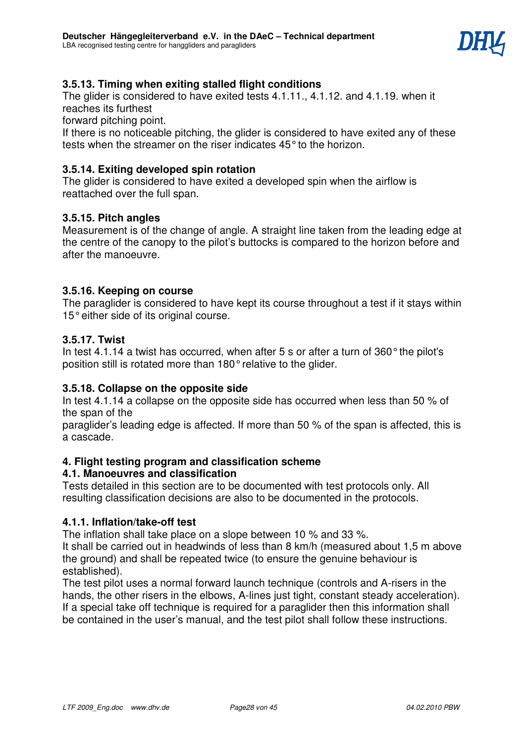

# **3.5.13. Timing when exiting stalled flight conditions**

The glider is considered to have exited tests 4.1.11., 4.1.12. and 4.1.19. when it reaches its furthest

forward pitching point.

If there is no noticeable pitching, the glider is considered to have exited any of these tests when the streamer on the riser indicates 45° to the horizon.

# **3.5.14. Exiting developed spin rotation**

The glider is considered to have exited a developed spin when the airflow is reattached over the full span.

# **3.5.15. Pitch angles**

Measurement is of the change of angle. A straight line taken from the leading edge at the centre of the canopy to the pilot's buttocks is compared to the horizon before and after the manoeuvre.

# **3.5.16. Keeping on course**

The paraglider is considered to have kept its course throughout a test if it stays within 15° either side of its original course.

# **3.5.17. Twist**

In test 4.1.14 a twist has occurred, when after 5 s or after a turn of 360° the pilot's position still is rotated more than 180° relative to the glider.

# **3.5.18. Collapse on the opposite side**

In test 4.1.14 a collapse on the opposite side has occurred when less than 50 % of the span of the

paraglider's leading edge is affected. If more than 50 % of the span is affected, this is a cascade.

# **4. Flight testing program and classification scheme**

# **4.1. Manoeuvres and classification**

Tests detailed in this section are to be documented with test protocols only. All resulting classification decisions are also to be documented in the protocols.

# **4.1.1. Inflation/take-off test**

The inflation shall take place on a slope between 10 % and 33 %.

It shall be carried out in headwinds of less than 8 km/h (measured about 1,5 m above the ground) and shall be repeated twice (to ensure the genuine behaviour is established).

The test pilot uses a normal forward launch technique (controls and A-risers in the hands, the other risers in the elbows, A-lines just tight, constant steady acceleration). If a special take off technique is required for a paraglider then this information shall be contained in the user's manual, and the test pilot shall follow these instructions.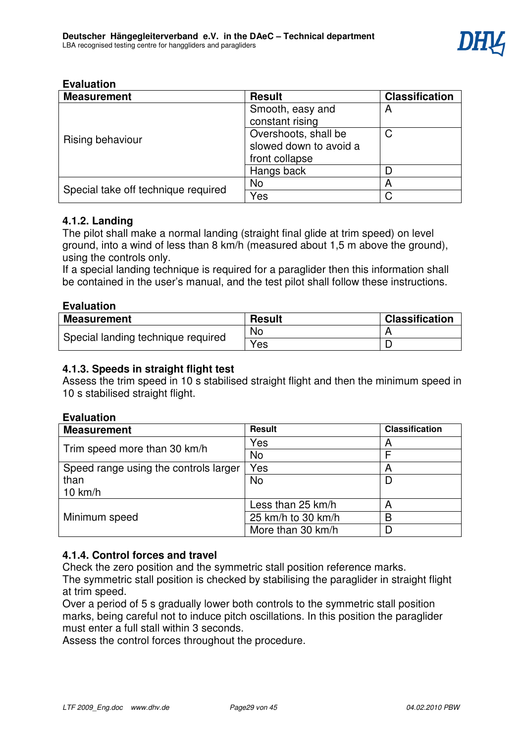| <b>Measurement</b>                  | <b>Result</b>                       | <b>Classification</b> |
|-------------------------------------|-------------------------------------|-----------------------|
|                                     | Smooth, easy and<br>constant rising | A                     |
|                                     |                                     |                       |
| Rising behaviour                    | Overshoots, shall be                | С                     |
|                                     | slowed down to avoid a              |                       |
|                                     | front collapse                      |                       |
|                                     | Hangs back                          |                       |
| Special take off technique required | <b>No</b>                           | А                     |
|                                     | Yes                                 |                       |

# **4.1.2. Landing**

The pilot shall make a normal landing (straight final glide at trim speed) on level ground, into a wind of less than 8 km/h (measured about 1,5 m above the ground), using the controls only.

If a special landing technique is required for a paraglider then this information shall be contained in the user's manual, and the test pilot shall follow these instructions.

### **Evaluation**

| <b>Measurement</b>                 | <b>Result</b> | <b>Classification</b> |
|------------------------------------|---------------|-----------------------|
| Special landing technique required | No            |                       |
|                                    | <b>Yes</b>    |                       |

# **4.1.3. Speeds in straight flight test**

Assess the trim speed in 10 s stabilised straight flight and then the minimum speed in 10 s stabilised straight flight.

# **Evaluation**

| <b>Measurement</b>                    | <b>Result</b>      | <b>Classification</b> |
|---------------------------------------|--------------------|-----------------------|
| Trim speed more than 30 km/h          | Yes                | А                     |
|                                       | <b>No</b>          |                       |
| Speed range using the controls larger | Yes                | A                     |
| than                                  | <b>No</b>          |                       |
| $10 \text{ km/h}$                     |                    |                       |
|                                       | Less than 25 km/h  | Α                     |
| Minimum speed                         | 25 km/h to 30 km/h | B                     |
|                                       | More than 30 km/h  |                       |

# **4.1.4. Control forces and travel**

Check the zero position and the symmetric stall position reference marks.

The symmetric stall position is checked by stabilising the paraglider in straight flight at trim speed.

Over a period of 5 s gradually lower both controls to the symmetric stall position marks, being careful not to induce pitch oscillations. In this position the paraglider must enter a full stall within 3 seconds.

Assess the control forces throughout the procedure.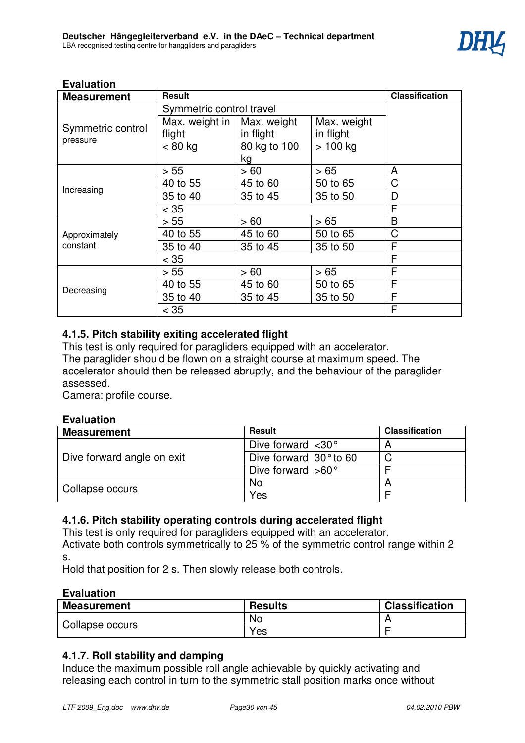

| <b>Measurement</b>            | <b>Result</b>            |              |             | <b>Classification</b> |
|-------------------------------|--------------------------|--------------|-------------|-----------------------|
|                               | Symmetric control travel |              |             |                       |
|                               | Max. weight in           | Max. weight  | Max. weight |                       |
| Symmetric control<br>pressure | flight                   | in flight    | in flight   |                       |
|                               | $< 80$ kg                | 80 kg to 100 | $>100$ kg   |                       |
|                               |                          | kg           |             |                       |
|                               | > 55                     | > 60         | > 65        | A                     |
| Increasing                    | 40 to 55                 | 45 to 60     | 50 to 65    | C                     |
|                               | 35 to 40                 | 35 to 45     | 35 to 50    | D                     |
|                               | $<$ 35                   |              |             | F                     |
|                               | > 55                     | > 60         | >65         | B                     |
| Approximately                 | 40 to 55                 | 45 to 60     | 50 to 65    | C                     |
| constant                      | 35 to 40                 | 35 to 45     | 35 to 50    | F                     |
|                               | $<$ 35                   |              |             | F                     |
|                               | > 55                     | >60          | >65         | F                     |
|                               | 40 to 55                 | 45 to 60     | 50 to 65    | F                     |
| Decreasing                    | 35 to 40                 | 35 to 45     | 35 to 50    | F                     |
|                               | $<$ 35                   |              |             | F                     |

# **4.1.5. Pitch stability exiting accelerated flight**

This test is only required for paragliders equipped with an accelerator. The paraglider should be flown on a straight course at maximum speed. The accelerator should then be released abruptly, and the behaviour of the paraglider assessed.

Camera: profile course.

# **Evaluation**

| <b>Measurement</b>         | Result                          | <b>Classification</b> |
|----------------------------|---------------------------------|-----------------------|
|                            | Dive forward $\langle 30^\circ$ |                       |
| Dive forward angle on exit | Dive forward $30^\circ$ to 60   |                       |
|                            | Dive forward $>60^\circ$        |                       |
|                            | No                              |                       |
| Collapse occurs            | Yes                             |                       |

# **4.1.6. Pitch stability operating controls during accelerated flight**

This test is only required for paragliders equipped with an accelerator. Activate both controls symmetrically to 25 % of the symmetric control range within 2 s.

Hold that position for 2 s. Then slowly release both controls.

# **Evaluation**

| <b>Measurement</b> | <b>Results</b> | <b>Classification</b> |
|--------------------|----------------|-----------------------|
| Collapse occurs    | No.            |                       |
|                    | <b>Yes</b>     |                       |

# **4.1.7. Roll stability and damping**

Induce the maximum possible roll angle achievable by quickly activating and releasing each control in turn to the symmetric stall position marks once without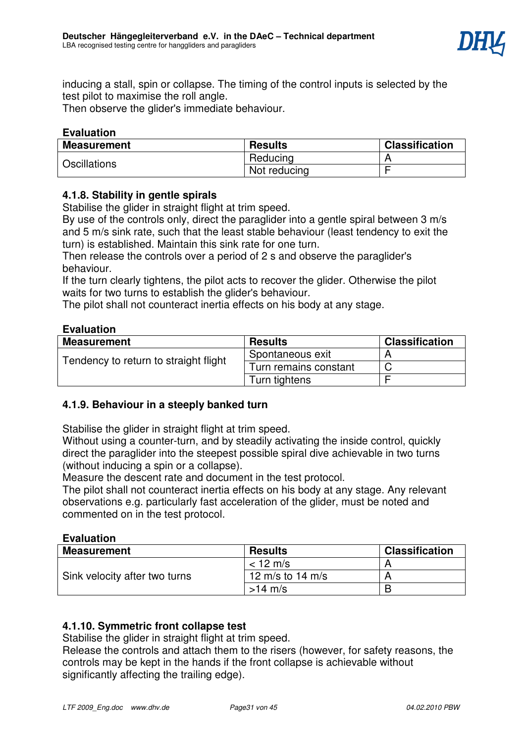

inducing a stall, spin or collapse. The timing of the control inputs is selected by the test pilot to maximise the roll angle.

Then observe the glider's immediate behaviour.

# **Evaluation**

| <b>Measurement</b>  | <b>Results</b> | <b>Classification</b> |
|---------------------|----------------|-----------------------|
| <b>Oscillations</b> | Reducing       |                       |
|                     | Not reducing   |                       |

# **4.1.8. Stability in gentle spirals**

Stabilise the glider in straight flight at trim speed.

By use of the controls only, direct the paraglider into a gentle spiral between 3 m/s and 5 m/s sink rate, such that the least stable behaviour (least tendency to exit the turn) is established. Maintain this sink rate for one turn.

Then release the controls over a period of 2 s and observe the paraglider's behaviour.

If the turn clearly tightens, the pilot acts to recover the glider. Otherwise the pilot waits for two turns to establish the glider's behaviour.

The pilot shall not counteract inertia effects on his body at any stage.

### **Evaluation**

| <b>Measurement</b>                    | <b>Results</b>        | <b>Classification</b> |
|---------------------------------------|-----------------------|-----------------------|
| Tendency to return to straight flight | Spontaneous exit      |                       |
|                                       | Turn remains constant |                       |
|                                       | Turn tightens         |                       |

# **4.1.9. Behaviour in a steeply banked turn**

Stabilise the glider in straight flight at trim speed.

Without using a counter-turn, and by steadily activating the inside control, quickly direct the paraglider into the steepest possible spiral dive achievable in two turns (without inducing a spin or a collapse).

Measure the descent rate and document in the test protocol.

The pilot shall not counteract inertia effects on his body at any stage. Any relevant observations e.g. particularly fast acceleration of the glider, must be noted and commented on in the test protocol.

### **Evaluation**

| <b>Measurement</b>            | <b>Results</b>   | <b>Classification</b> |
|-------------------------------|------------------|-----------------------|
|                               | $< 12$ m/s       |                       |
| Sink velocity after two turns | 12 m/s to 14 m/s |                       |
|                               | $>14$ m/s        | B                     |

# **4.1.10. Symmetric front collapse test**

Stabilise the glider in straight flight at trim speed.

Release the controls and attach them to the risers (however, for safety reasons, the controls may be kept in the hands if the front collapse is achievable without significantly affecting the trailing edge).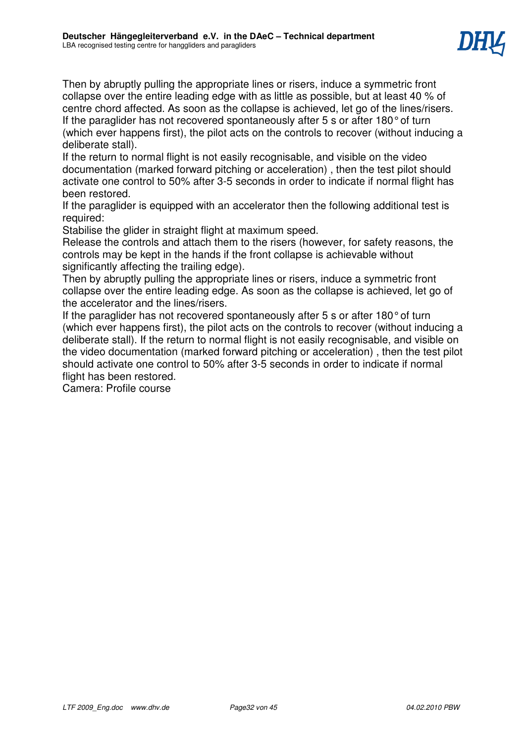

Then by abruptly pulling the appropriate lines or risers, induce a symmetric front collapse over the entire leading edge with as little as possible, but at least 40 % of centre chord affected. As soon as the collapse is achieved, let go of the lines/risers. If the paraglider has not recovered spontaneously after 5 s or after 180° of turn (which ever happens first), the pilot acts on the controls to recover (without inducing a deliberate stall).

If the return to normal flight is not easily recognisable, and visible on the video documentation (marked forward pitching or acceleration) , then the test pilot should activate one control to 50% after 3-5 seconds in order to indicate if normal flight has been restored.

If the paraglider is equipped with an accelerator then the following additional test is required:

Stabilise the glider in straight flight at maximum speed.

Release the controls and attach them to the risers (however, for safety reasons, the controls may be kept in the hands if the front collapse is achievable without significantly affecting the trailing edge).

Then by abruptly pulling the appropriate lines or risers, induce a symmetric front collapse over the entire leading edge. As soon as the collapse is achieved, let go of the accelerator and the lines/risers.

If the paraglider has not recovered spontaneously after 5 s or after 180° of turn (which ever happens first), the pilot acts on the controls to recover (without inducing a deliberate stall). If the return to normal flight is not easily recognisable, and visible on the video documentation (marked forward pitching or acceleration) , then the test pilot should activate one control to 50% after 3-5 seconds in order to indicate if normal flight has been restored.

Camera: Profile course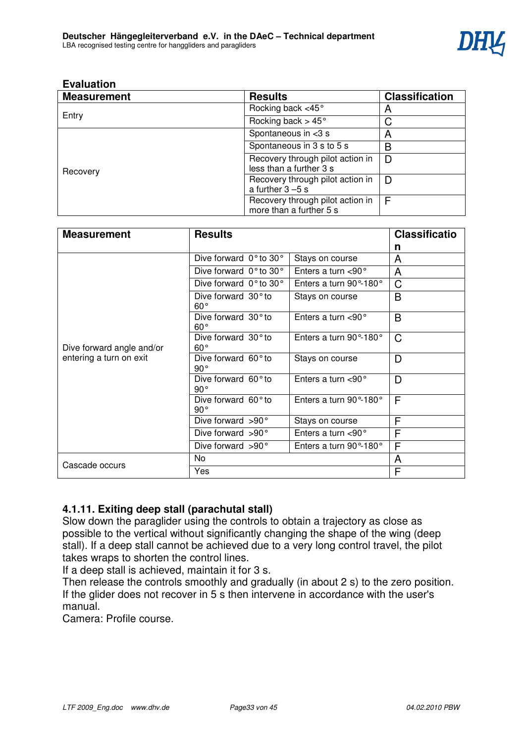

| <b>Measurement</b> | <b>Results</b>                                              | <b>Classification</b> |
|--------------------|-------------------------------------------------------------|-----------------------|
|                    | Rocking back <45°                                           | A                     |
| Entry              | Rocking back $> 45^{\circ}$                                 | С                     |
|                    | Spontaneous in $<$ 3 s                                      | A                     |
|                    | Spontaneous in 3 s to 5 s                                   | B                     |
| Recovery           | Recovery through pilot action in<br>less than a further 3 s | D                     |
|                    | Recovery through pilot action in<br>a further $3 - 5s$      | D                     |
|                    | Recovery through pilot action in<br>more than a further 5 s | E                     |

| <b>Measurement</b>                                   | <b>Results</b>                             |                                 | <b>Classificatio</b> |
|------------------------------------------------------|--------------------------------------------|---------------------------------|----------------------|
|                                                      |                                            |                                 | n                    |
|                                                      | Dive forward 0° to 30°                     | Stays on course                 | A                    |
|                                                      | Dive forward $0°$ to 30°                   | Enters a turn $<$ 90 $^{\circ}$ | A                    |
|                                                      | Dive forward $0°$ to 30°                   | Enters a turn 90°-180°          | $\mathsf C$          |
|                                                      | Dive forward $30^\circ$ to<br>$60^{\circ}$ | Stays on course                 | B                    |
|                                                      | Dive forward 30° to<br>$60^{\circ}$        | Enters a turn $<$ 90 $^{\circ}$ | B                    |
| Dive forward angle and/or<br>entering a turn on exit | Dive forward $30^\circ$ to<br>$60^{\circ}$ | Enters a turn 90°-180°          | C                    |
|                                                      | Dive forward $60^\circ$ to<br>$90^{\circ}$ | Stays on course                 | D                    |
|                                                      | Dive forward $60^\circ$ to<br>$90^{\circ}$ | Enters a turn $<$ 90 $^{\circ}$ | D                    |
|                                                      | Dive forward 60° to<br>$90^{\circ}$        | Enters a turn 90°-180°          | F                    |
|                                                      | Dive forward $>90^\circ$                   | Stays on course                 | F                    |
|                                                      | Dive forward >90°                          | Enters a turn $<$ 90 $^{\circ}$ | F                    |
|                                                      | Dive forward >90°                          | Enters a turn 90°-180°          | F                    |
| Cascade occurs                                       | No                                         |                                 | A                    |
|                                                      | Yes                                        |                                 | F                    |

# **4.1.11. Exiting deep stall (parachutal stall)**

Slow down the paraglider using the controls to obtain a trajectory as close as possible to the vertical without significantly changing the shape of the wing (deep stall). If a deep stall cannot be achieved due to a very long control travel, the pilot takes wraps to shorten the control lines.

If a deep stall is achieved, maintain it for 3 s.

Then release the controls smoothly and gradually (in about 2 s) to the zero position. If the glider does not recover in 5 s then intervene in accordance with the user's manual.

Camera: Profile course.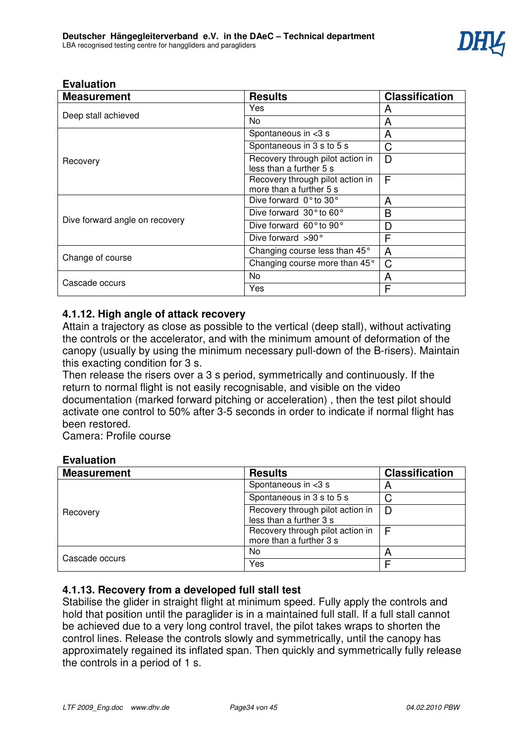

| <b>Measurement</b>             | <b>Results</b>                                              | <b>Classification</b> |
|--------------------------------|-------------------------------------------------------------|-----------------------|
|                                | Yes                                                         | А                     |
| Deep stall achieved            | No.                                                         | A                     |
|                                | Spontaneous in <3 s                                         | A                     |
|                                | Spontaneous in 3 s to 5 s                                   | C                     |
| Recovery                       | Recovery through pilot action in<br>less than a further 5 s | D                     |
|                                | Recovery through pilot action in<br>more than a further 5 s | F                     |
|                                | Dive forward 0° to 30°                                      | A                     |
|                                | Dive forward 30° to 60°                                     | B                     |
| Dive forward angle on recovery | Dive forward 60° to 90°                                     | D                     |
|                                | Dive forward $>90^\circ$                                    | F                     |
| Change of course               | Changing course less than 45°                               | A                     |
|                                | Changing course more than 45°                               | C                     |
| Cascade occurs                 | No.                                                         | A                     |
|                                | Yes                                                         | F                     |

# **4.1.12. High angle of attack recovery**

Attain a trajectory as close as possible to the vertical (deep stall), without activating the controls or the accelerator, and with the minimum amount of deformation of the canopy (usually by using the minimum necessary pull-down of the B-risers). Maintain this exacting condition for 3 s.

Then release the risers over a 3 s period, symmetrically and continuously. If the return to normal flight is not easily recognisable, and visible on the video documentation (marked forward pitching or acceleration) , then the test pilot should activate one control to 50% after 3-5 seconds in order to indicate if normal flight has been restored.

Camera: Profile course

# **Evaluation**

| <b>Measurement</b> | <b>Results</b>                                              | <b>Classification</b> |
|--------------------|-------------------------------------------------------------|-----------------------|
| Recovery           | Spontaneous in $<$ 3 s                                      | n                     |
|                    | Spontaneous in 3 s to 5 s                                   |                       |
|                    | Recovery through pilot action in<br>less than a further 3 s | D                     |
|                    | Recovery through pilot action in<br>more than a further 3 s |                       |
| Cascade occurs     | No.                                                         | $\overline{a}$        |
|                    | Yes                                                         |                       |

# **4.1.13. Recovery from a developed full stall test**

Stabilise the glider in straight flight at minimum speed. Fully apply the controls and hold that position until the paraglider is in a maintained full stall. If a full stall cannot be achieved due to a very long control travel, the pilot takes wraps to shorten the control lines. Release the controls slowly and symmetrically, until the canopy has approximately regained its inflated span. Then quickly and symmetrically fully release the controls in a period of 1 s.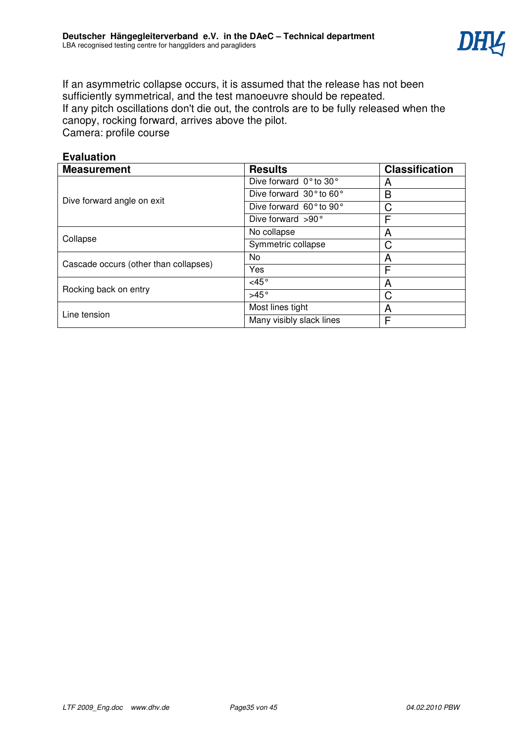

If an asymmetric collapse occurs, it is assumed that the release has not been sufficiently symmetrical, and the test manoeuvre should be repeated. If any pitch oscillations don't die out, the controls are to be fully released when the canopy, rocking forward, arrives above the pilot. Camera: profile course

| <b>Evaluation</b>                     |                          |                       |  |
|---------------------------------------|--------------------------|-----------------------|--|
| <b>Measurement</b>                    | <b>Results</b>           | <b>Classification</b> |  |
|                                       | Dive forward 0° to 30°   | A                     |  |
|                                       | Dive forward 30° to 60°  | B                     |  |
| Dive forward angle on exit            | Dive forward 60° to 90°  | C                     |  |
|                                       | Dive forward $>90^\circ$ | F                     |  |
|                                       | No collapse              | A                     |  |
| Collapse                              | Symmetric collapse       | C                     |  |
| Cascade occurs (other than collapses) | No                       | A                     |  |
|                                       | Yes                      | F                     |  |
| Rocking back on entry                 | $<$ 45 $^{\circ}$        | A                     |  |
|                                       | $>45^\circ$              | C                     |  |
|                                       | Most lines tight         | A                     |  |
| Line tension                          | Many visibly slack lines | F                     |  |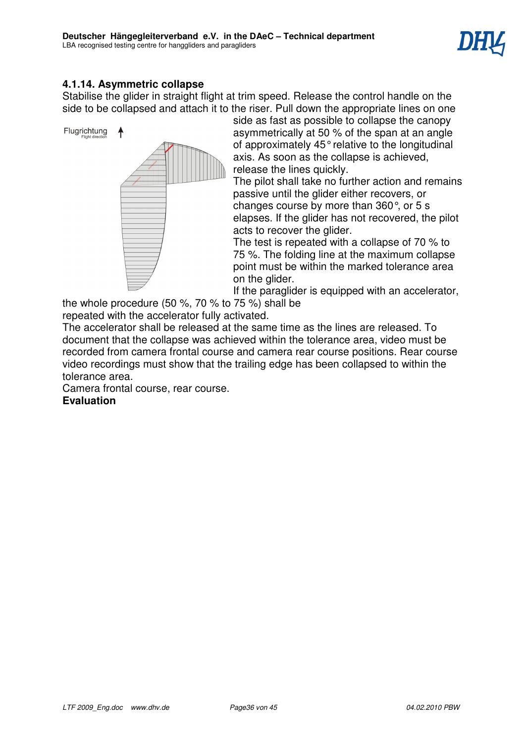

# **4.1.14. Asymmetric collapse**

Stabilise the glider in straight flight at trim speed. Release the control handle on the side to be collapsed and attach it to the riser. Pull down the appropriate lines on one



side as fast as possible to collapse the canopy asymmetrically at 50 % of the span at an angle of approximately 45° relative to the longitudinal axis. As soon as the collapse is achieved, release the lines quickly.

The pilot shall take no further action and remains passive until the glider either recovers, or changes course by more than 360°, or 5 s elapses. If the glider has not recovered, the pilot acts to recover the glider.

The test is repeated with a collapse of 70 % to 75 %. The folding line at the maximum collapse point must be within the marked tolerance area on the glider.

If the paraglider is equipped with an accelerator,

the whole procedure (50 %, 70 % to 75 %) shall be

repeated with the accelerator fully activated.

The accelerator shall be released at the same time as the lines are released. To document that the collapse was achieved within the tolerance area, video must be recorded from camera frontal course and camera rear course positions. Rear course video recordings must show that the trailing edge has been collapsed to within the tolerance area.

Camera frontal course, rear course. **Evaluation**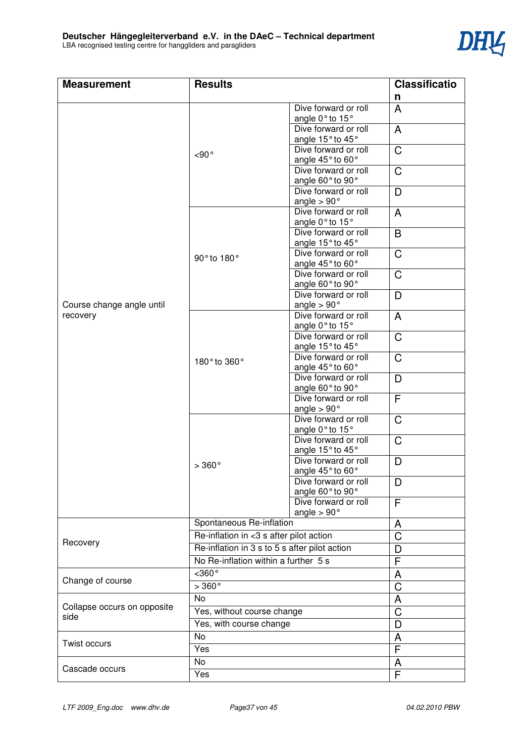

| <b>Measurement</b>                 | <b>Results</b>                                |                                            | <b>Classificatio</b> |
|------------------------------------|-----------------------------------------------|--------------------------------------------|----------------------|
|                                    |                                               |                                            | n                    |
|                                    |                                               | Dive forward or roll<br>angle 0° to 15°    | $\mathsf{A}$         |
|                                    |                                               | Dive forward or roll<br>angle 15° to 45°   | A                    |
|                                    | $<$ 90 $^{\circ}$                             | Dive forward or roll<br>angle 45° to 60°   | $\mathsf C$          |
|                                    |                                               | Dive forward or roll<br>angle 60° to 90°   | C                    |
|                                    |                                               | Dive forward or roll<br>angle $> 90^\circ$ | D                    |
|                                    |                                               | Dive forward or roll<br>angle 0° to 15°    | A                    |
|                                    |                                               | Dive forward or roll<br>angle 15° to 45°   | B                    |
|                                    | 90° to 180°                                   | Dive forward or roll<br>angle 45° to 60°   | $\mathsf C$          |
|                                    |                                               | Dive forward or roll<br>angle 60° to 90°   | $\mathsf C$          |
| Course change angle until          |                                               | Dive forward or roll<br>angle $> 90^\circ$ | D                    |
| recovery                           |                                               | Dive forward or roll<br>angle 0° to 15°    | A                    |
|                                    |                                               | Dive forward or roll<br>angle 15° to 45°   | C                    |
|                                    | 180° to 360°                                  | Dive forward or roll<br>angle 45° to 60°   | $\mathsf C$          |
|                                    |                                               | Dive forward or roll<br>angle 60° to 90°   | D                    |
|                                    |                                               | Dive forward or roll<br>angle $> 90^\circ$ | F                    |
|                                    |                                               | Dive forward or roll<br>angle 0° to 15°    | C                    |
|                                    |                                               | Dive forward or roll<br>angle 15° to 45°   | $\mathsf{C}$         |
|                                    | $>360^{\circ}$                                | Dive forward or roll<br>angle 45° to 60°   | D                    |
|                                    |                                               | Dive forward or roll<br>angle 60° to 90°   | D                    |
|                                    |                                               | Dive forward or roll<br>angle $> 90^\circ$ | F                    |
|                                    | Spontaneous Re-inflation                      |                                            | A                    |
| Recovery                           | Re-inflation in <3 s after pilot action       |                                            | $\mathsf C$          |
|                                    | Re-inflation in 3 s to 5 s after pilot action |                                            | D                    |
|                                    | No Re-inflation within a further 5 s          |                                            | F                    |
|                                    | $<$ 360 $\overline{\circ}$                    |                                            | A                    |
| Change of course<br>$>360^{\circ}$ |                                               |                                            | C                    |
|                                    | <b>No</b>                                     |                                            | A                    |
| Collapse occurs on opposite        | Yes, without course change                    |                                            | C                    |
| side                               | Yes, with course change                       |                                            | D                    |
|                                    | <b>No</b>                                     |                                            | A                    |
| <b>Twist occurs</b><br>Yes         |                                               |                                            | F                    |
|                                    | No                                            |                                            | A                    |
| Cascade occurs                     | Yes                                           |                                            | $\overline{F}$       |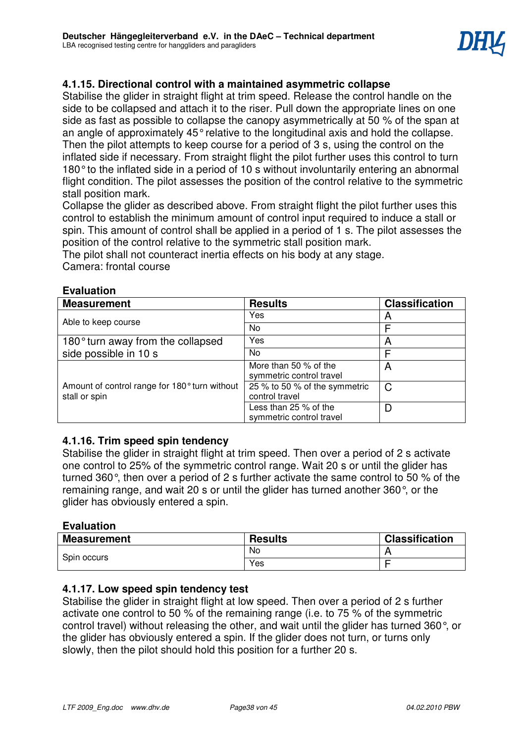# **4.1.15. Directional control with a maintained asymmetric collapse**

Stabilise the glider in straight flight at trim speed. Release the control handle on the side to be collapsed and attach it to the riser. Pull down the appropriate lines on one side as fast as possible to collapse the canopy asymmetrically at 50 % of the span at an angle of approximately 45° relative to the longitudinal axis and hold the collapse. Then the pilot attempts to keep course for a period of 3 s, using the control on the inflated side if necessary. From straight flight the pilot further uses this control to turn 180° to the inflated side in a period of 10 s without involuntarily entering an abnormal flight condition. The pilot assesses the position of the control relative to the symmetric stall position mark.

Collapse the glider as described above. From straight flight the pilot further uses this control to establish the minimum amount of control input required to induce a stall or spin. This amount of control shall be applied in a period of 1 s. The pilot assesses the position of the control relative to the symmetric stall position mark.

The pilot shall not counteract inertia effects on his body at any stage.

Camera: frontal course

| <b>Measurement</b>                                             | <b>Results</b>                                    | <b>Classification</b> |
|----------------------------------------------------------------|---------------------------------------------------|-----------------------|
| Able to keep course                                            | Yes                                               | A                     |
|                                                                | No                                                |                       |
| 180° turn away from the collapsed                              | Yes                                               | A                     |
| side possible in 10 s                                          | No.                                               | F                     |
| Amount of control range for 180° turn without<br>stall or spin | More than 50 % of the<br>symmetric control travel | A                     |
|                                                                | 25 % to 50 % of the symmetric<br>control travel   | C                     |
|                                                                | Less than 25 % of the<br>symmetric control travel | D                     |

# **Evaluation**

# **4.1.16. Trim speed spin tendency**

Stabilise the glider in straight flight at trim speed. Then over a period of 2 s activate one control to 25% of the symmetric control range. Wait 20 s or until the glider has turned 360°, then over a period of 2 s further activate the same control to 50 % of the remaining range, and wait 20 s or until the glider has turned another 360°, or the glider has obviously entered a spin.

# **Evaluation**

| <b>Measurement</b> | <b>Results</b> | <b>Classification</b> |
|--------------------|----------------|-----------------------|
| Spin occurs        | No             |                       |
|                    | Yes            |                       |

# **4.1.17. Low speed spin tendency test**

Stabilise the glider in straight flight at low speed. Then over a period of 2 s further activate one control to 50 % of the remaining range (i.e. to 75 % of the symmetric control travel) without releasing the other, and wait until the glider has turned 360°, or the glider has obviously entered a spin. If the glider does not turn, or turns only slowly, then the pilot should hold this position for a further 20 s.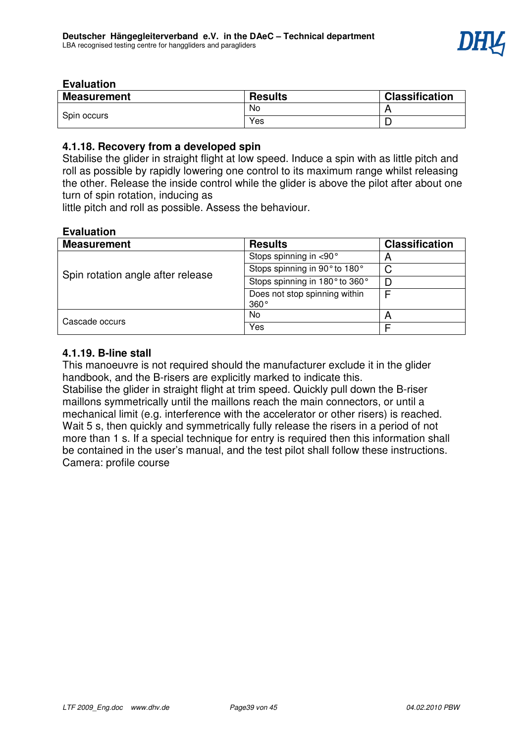

| <b>Measurement</b> | <b>Results</b> | <b>Classification</b> |
|--------------------|----------------|-----------------------|
| Spin occurs        | No             |                       |
|                    | Yes            |                       |

# **4.1.18. Recovery from a developed spin**

Stabilise the glider in straight flight at low speed. Induce a spin with as little pitch and roll as possible by rapidly lowering one control to its maximum range whilst releasing the other. Release the inside control while the glider is above the pilot after about one turn of spin rotation, inducing as

little pitch and roll as possible. Assess the behaviour.

# **Evaluation**

| <b>Measurement</b>                | <b>Results</b>                        | <b>Classification</b> |
|-----------------------------------|---------------------------------------|-----------------------|
| Spin rotation angle after release | Stops spinning in <90°                | n                     |
|                                   | Stops spinning in 90° to 180°         | C                     |
|                                   | Stops spinning in 180° to 360°        | D                     |
|                                   | Does not stop spinning within<br>360° |                       |
| Cascade occurs                    | No                                    | n                     |
|                                   | Yes                                   |                       |

# **4.1.19. B-line stall**

This manoeuvre is not required should the manufacturer exclude it in the glider handbook, and the B-risers are explicitly marked to indicate this. Stabilise the glider in straight flight at trim speed. Quickly pull down the B-riser maillons symmetrically until the maillons reach the main connectors, or until a mechanical limit (e.g. interference with the accelerator or other risers) is reached. Wait 5 s, then quickly and symmetrically fully release the risers in a period of not more than 1 s. If a special technique for entry is required then this information shall be contained in the user's manual, and the test pilot shall follow these instructions. Camera: profile course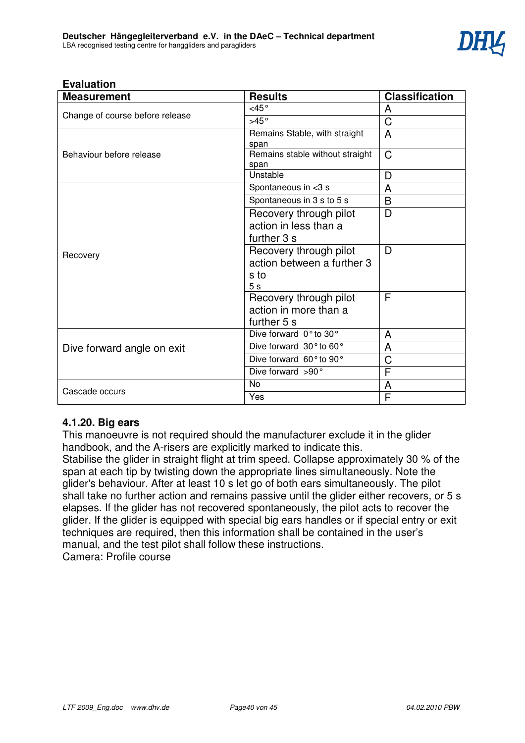

| <b>Measurement</b>              | <b>Results</b>                  | <b>Classification</b> |
|---------------------------------|---------------------------------|-----------------------|
|                                 | $<$ 45 $^{\circ}$               | A                     |
| Change of course before release | >45°                            | $\overline{\text{C}}$ |
|                                 | Remains Stable, with straight   | A                     |
|                                 | span                            |                       |
| Behaviour before release        | Remains stable without straight | $\mathsf C$           |
|                                 | span                            |                       |
|                                 | Unstable                        | D                     |
|                                 | Spontaneous in <3 s             | A                     |
|                                 | Spontaneous in 3 s to 5 s       | B                     |
|                                 | Recovery through pilot          | D                     |
|                                 | action in less than a           |                       |
|                                 | further 3 s                     |                       |
| Recovery                        | Recovery through pilot          | D                     |
|                                 | action between a further 3      |                       |
|                                 | s to                            |                       |
|                                 | 5 <sub>s</sub>                  |                       |
|                                 | Recovery through pilot          | F                     |
|                                 | action in more than a           |                       |
|                                 | further 5 s                     |                       |
|                                 | Dive forward 0° to 30°          | A                     |
| Dive forward angle on exit      | Dive forward 30° to 60°         | A                     |
|                                 | Dive forward 60° to 90°         | C                     |
|                                 | Dive forward >90°               | F                     |
|                                 | No                              | A                     |
| Cascade occurs                  | Yes                             | F                     |

# **4.1.20. Big ears**

This manoeuvre is not required should the manufacturer exclude it in the glider handbook, and the A-risers are explicitly marked to indicate this.

Stabilise the glider in straight flight at trim speed. Collapse approximately 30 % of the span at each tip by twisting down the appropriate lines simultaneously. Note the glider's behaviour. After at least 10 s let go of both ears simultaneously. The pilot shall take no further action and remains passive until the glider either recovers, or 5 s elapses. If the glider has not recovered spontaneously, the pilot acts to recover the glider. If the glider is equipped with special big ears handles or if special entry or exit techniques are required, then this information shall be contained in the user's manual, and the test pilot shall follow these instructions. Camera: Profile course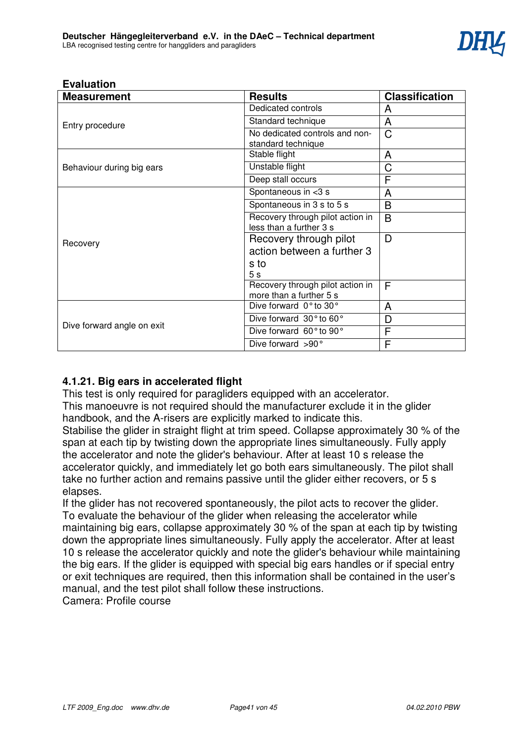

| <b>Measurement</b>         | <b>Results</b>                                              | <b>Classification</b> |
|----------------------------|-------------------------------------------------------------|-----------------------|
|                            | Dedicated controls                                          | A                     |
| Entry procedure            | Standard technique                                          | A                     |
|                            | No dedicated controls and non-<br>standard technique        | C                     |
|                            | Stable flight                                               | A                     |
| Behaviour during big ears  | Unstable flight                                             | C                     |
|                            | Deep stall occurs                                           | F                     |
|                            | Spontaneous in <3 s                                         | A                     |
|                            | Spontaneous in 3 s to 5 s                                   | B                     |
|                            | Recovery through pilot action in<br>less than a further 3 s | B                     |
| Recovery                   | Recovery through pilot                                      | D                     |
|                            | action between a further 3                                  |                       |
|                            | s to                                                        |                       |
|                            | 5 <sub>s</sub>                                              |                       |
|                            | Recovery through pilot action in                            | F                     |
|                            | more than a further 5 s                                     |                       |
| Dive forward angle on exit | Dive forward 0° to 30°                                      | A                     |
|                            | Dive forward 30° to 60°                                     | D                     |
|                            | Dive forward 60° to 90°                                     | F                     |
|                            | Dive forward >90°                                           | F                     |

# **4.1.21. Big ears in accelerated flight**

This test is only required for paragliders equipped with an accelerator.

This manoeuvre is not required should the manufacturer exclude it in the glider handbook, and the A-risers are explicitly marked to indicate this.

Stabilise the glider in straight flight at trim speed. Collapse approximately 30 % of the span at each tip by twisting down the appropriate lines simultaneously. Fully apply the accelerator and note the glider's behaviour. After at least 10 s release the accelerator quickly, and immediately let go both ears simultaneously. The pilot shall take no further action and remains passive until the glider either recovers, or 5 s elapses.

If the glider has not recovered spontaneously, the pilot acts to recover the glider. To evaluate the behaviour of the glider when releasing the accelerator while maintaining big ears, collapse approximately 30 % of the span at each tip by twisting down the appropriate lines simultaneously. Fully apply the accelerator. After at least 10 s release the accelerator quickly and note the glider's behaviour while maintaining the big ears. If the glider is equipped with special big ears handles or if special entry or exit techniques are required, then this information shall be contained in the user's manual, and the test pilot shall follow these instructions.

Camera: Profile course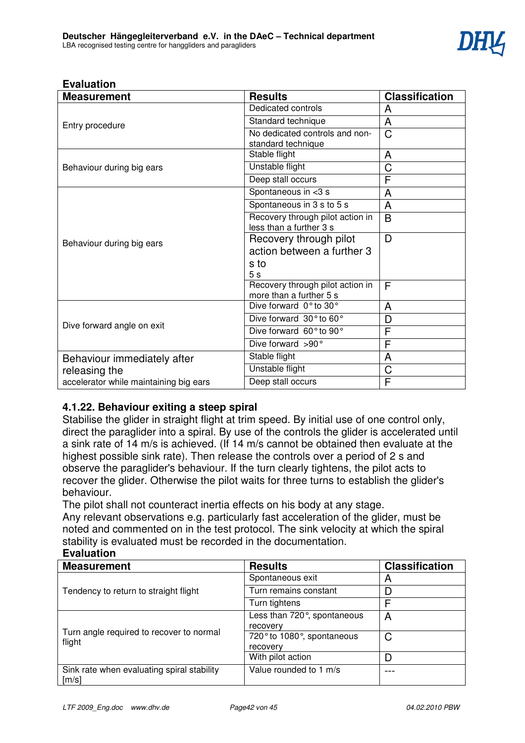

| <b>Measurement</b>                     | <b>Results</b>                                              | <b>Classification</b> |
|----------------------------------------|-------------------------------------------------------------|-----------------------|
|                                        | Dedicated controls                                          | A                     |
| Entry procedure                        | Standard technique                                          | A                     |
|                                        | No dedicated controls and non-<br>standard technique        | $\mathsf{C}$          |
|                                        | Stable flight                                               | A                     |
| Behaviour during big ears              | Unstable flight                                             | C                     |
|                                        | Deep stall occurs                                           | F                     |
|                                        | Spontaneous in <3 s                                         | A                     |
|                                        | Spontaneous in 3 s to 5 s                                   | A                     |
|                                        | Recovery through pilot action in<br>less than a further 3 s | B                     |
| Behaviour during big ears              | Recovery through pilot                                      | D                     |
|                                        | action between a further 3                                  |                       |
|                                        | s to                                                        |                       |
|                                        | 5s                                                          |                       |
|                                        | Recovery through pilot action in<br>more than a further 5 s | F                     |
|                                        | Dive forward 0° to 30°                                      | A                     |
|                                        | Dive forward 30° to 60°                                     | D                     |
| Dive forward angle on exit             | Dive forward 60° to 90°                                     | F                     |
|                                        | Dive forward >90°                                           | F                     |
| Behaviour immediately after            | Stable flight                                               | A                     |
| releasing the                          | Unstable flight                                             | C                     |
| accelerator while maintaining big ears | Deep stall occurs                                           | F                     |

# **4.1.22. Behaviour exiting a steep spiral**

Stabilise the glider in straight flight at trim speed. By initial use of one control only, direct the paraglider into a spiral. By use of the controls the glider is accelerated until a sink rate of 14 m/s is achieved. (If 14 m/s cannot be obtained then evaluate at the highest possible sink rate). Then release the controls over a period of 2 s and observe the paraglider's behaviour. If the turn clearly tightens, the pilot acts to recover the glider. Otherwise the pilot waits for three turns to establish the glider's behaviour.

The pilot shall not counteract inertia effects on his body at any stage.

Any relevant observations e.g. particularly fast acceleration of the glider, must be noted and commented on in the test protocol. The sink velocity at which the spiral stability is evaluated must be recorded in the documentation. **Evaluation**

| evuluulivii                                                       |                                         |                       |  |  |
|-------------------------------------------------------------------|-----------------------------------------|-----------------------|--|--|
| <b>Measurement</b>                                                | <b>Results</b>                          | <b>Classification</b> |  |  |
| Tendency to return to straight flight                             | Spontaneous exit                        | A                     |  |  |
|                                                                   | Turn remains constant                   | D                     |  |  |
|                                                                   | Turn tightens                           | F                     |  |  |
| Turn angle required to recover to normal<br>flight                | Less than 720°, spontaneous<br>recovery | A                     |  |  |
|                                                                   | 720° to 1080°, spontaneous<br>recovery  | C                     |  |  |
|                                                                   | With pilot action                       | D                     |  |  |
| Sink rate when evaluating spiral stability<br>$\lceil m/s \rceil$ | Value rounded to 1 m/s                  |                       |  |  |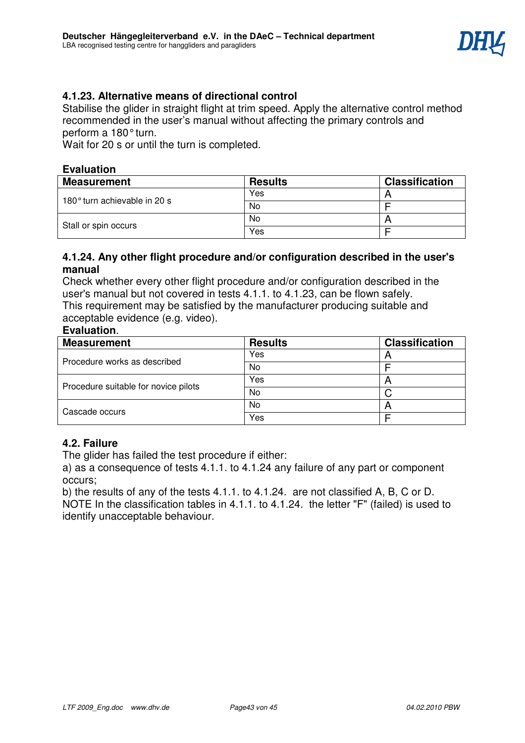

# **4.1.23. Alternative means of directional control**

Stabilise the glider in straight flight at trim speed. Apply the alternative control method recommended in the user's manual without affecting the primary controls and perform a 180° turn.

Wait for 20 s or until the turn is completed.

# **Evaluation**

| Measurement                  | <b>Results</b> | <b>Classification</b> |
|------------------------------|----------------|-----------------------|
| 180° turn achievable in 20 s | Yes            |                       |
|                              | No             |                       |
|                              | No             |                       |
| Stall or spin occurs         | Yes            |                       |

# **4.1.24. Any other flight procedure and/or configuration described in the user's manual**

Check whether every other flight procedure and/or configuration described in the user's manual but not covered in tests 4.1.1. to 4.1.23, can be flown safely. This requirement may be satisfied by the manufacturer producing suitable and acceptable evidence (e.g. video).

# **Evaluation**.

| <b>Measurement</b>                   | <b>Results</b> | <b>Classification</b> |
|--------------------------------------|----------------|-----------------------|
| Procedure works as described         | Yes            |                       |
|                                      | No             |                       |
| Procedure suitable for novice pilots | Yes            | n                     |
|                                      | No             |                       |
| Cascade occurs                       | No             |                       |
|                                      | Yes            |                       |

# **4.2. Failure**

The glider has failed the test procedure if either:

a) as a consequence of tests 4.1.1. to 4.1.24 any failure of any part or component occurs;

b) the results of any of the tests 4.1.1. to 4.1.24. are not classified A, B, C or D. NOTE In the classification tables in 4.1.1. to 4.1.24. the letter "F" (failed) is used to identify unacceptable behaviour.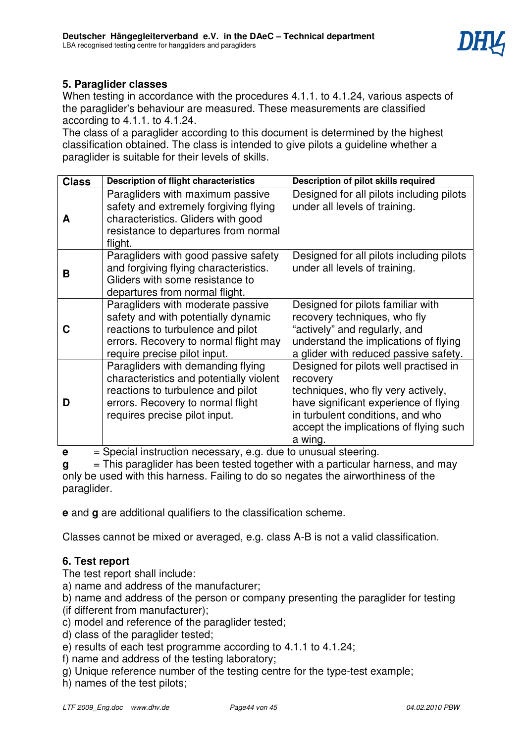

# **5. Paraglider classes**

When testing in accordance with the procedures 4.1.1. to 4.1.24, various aspects of the paraglider's behaviour are measured. These measurements are classified according to 4.1.1. to 4.1.24.

The class of a paraglider according to this document is determined by the highest classification obtained. The class is intended to give pilots a guideline whether a paraglider is suitable for their levels of skills.

| <b>Class</b> | <b>Description of flight characteristics</b>                                                                                                                                            | Description of pilot skills required                                                                                                                                                                                      |
|--------------|-----------------------------------------------------------------------------------------------------------------------------------------------------------------------------------------|---------------------------------------------------------------------------------------------------------------------------------------------------------------------------------------------------------------------------|
| A            | Paragliders with maximum passive<br>safety and extremely forgiving flying<br>characteristics. Gliders with good<br>resistance to departures from normal<br>flight.                      | Designed for all pilots including pilots<br>under all levels of training.                                                                                                                                                 |
| в            | Paragliders with good passive safety<br>and forgiving flying characteristics.<br>Gliders with some resistance to<br>departures from normal flight.                                      | Designed for all pilots including pilots<br>under all levels of training.                                                                                                                                                 |
|              | Paragliders with moderate passive<br>safety and with potentially dynamic<br>reactions to turbulence and pilot<br>errors. Recovery to normal flight may<br>require precise pilot input.  | Designed for pilots familiar with<br>recovery techniques, who fly<br>"actively" and regularly, and<br>understand the implications of flying<br>a glider with reduced passive safety.                                      |
| D            | Paragliders with demanding flying<br>characteristics and potentially violent<br>reactions to turbulence and pilot<br>errors. Recovery to normal flight<br>requires precise pilot input. | Designed for pilots well practised in<br>recovery<br>techniques, who fly very actively,<br>have significant experience of flying<br>in turbulent conditions, and who<br>accept the implications of flying such<br>a wing. |

**e**  $=$  Special instruction necessary, e.g. due to unusual steering.

**g** = This paraglider has been tested together with a particular harness, and may only be used with this harness. Failing to do so negates the airworthiness of the paraglider.

**e** and **g** are additional qualifiers to the classification scheme.

Classes cannot be mixed or averaged, e.g. class A-B is not a valid classification.

# **6. Test report**

The test report shall include:

a) name and address of the manufacturer;

- b) name and address of the person or company presenting the paraglider for testing
- (if different from manufacturer);
- c) model and reference of the paraglider tested;
- d) class of the paraglider tested;
- e) results of each test programme according to 4.1.1 to 4.1.24;
- f) name and address of the testing laboratory;
- g) Unique reference number of the testing centre for the type-test example;
- h) names of the test pilots;